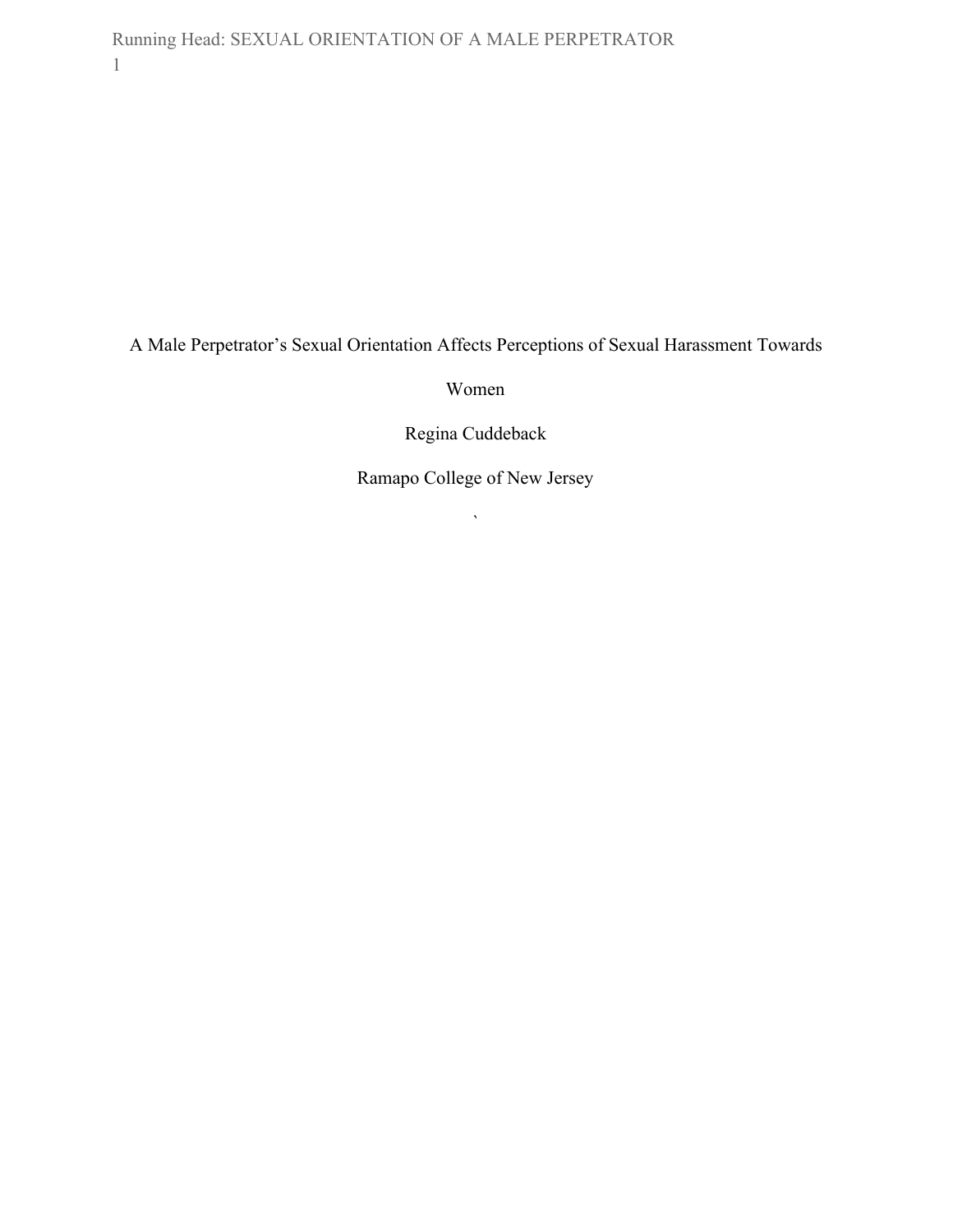Running Head: SEXUAL ORIENTATION OF A MALE PERPETRATOR 1

A Male Perpetrator's Sexual Orientation Affects Perceptions of Sexual Harassment Towards

Women

Regina Cuddeback

Ramapo College of New Jersey

 $\overline{\phantom{a}}$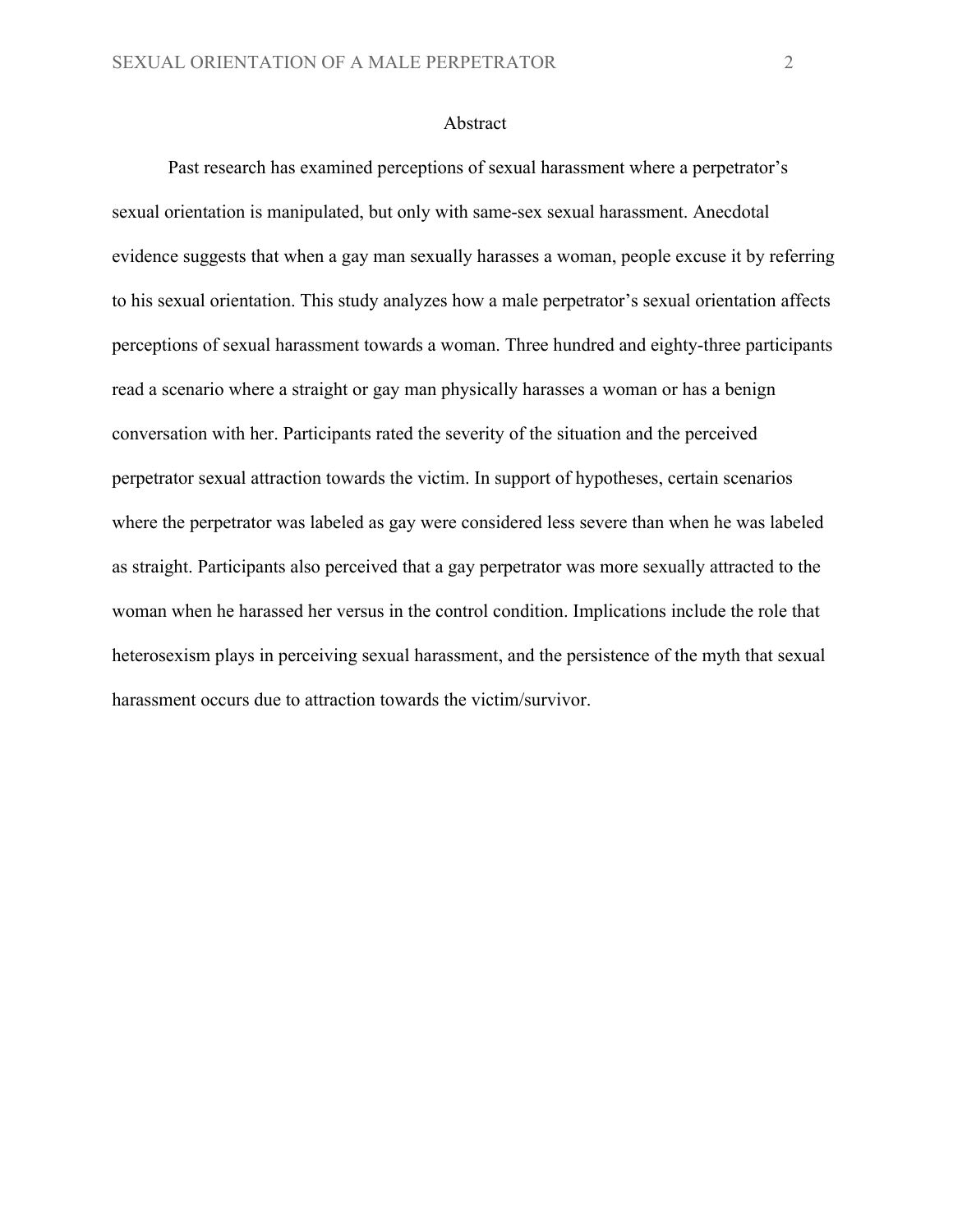## Abstract

Past research has examined perceptions of sexual harassment where a perpetrator's sexual orientation is manipulated, but only with same-sex sexual harassment. Anecdotal evidence suggests that when a gay man sexually harasses a woman, people excuse it by referring to his sexual orientation. This study analyzes how a male perpetrator's sexual orientation affects perceptions of sexual harassment towards a woman. Three hundred and eighty-three participants read a scenario where a straight or gay man physically harasses a woman or has a benign conversation with her. Participants rated the severity of the situation and the perceived perpetrator sexual attraction towards the victim. In support of hypotheses, certain scenarios where the perpetrator was labeled as gay were considered less severe than when he was labeled as straight. Participants also perceived that a gay perpetrator was more sexually attracted to the woman when he harassed her versus in the control condition. Implications include the role that heterosexism plays in perceiving sexual harassment, and the persistence of the myth that sexual harassment occurs due to attraction towards the victim/survivor.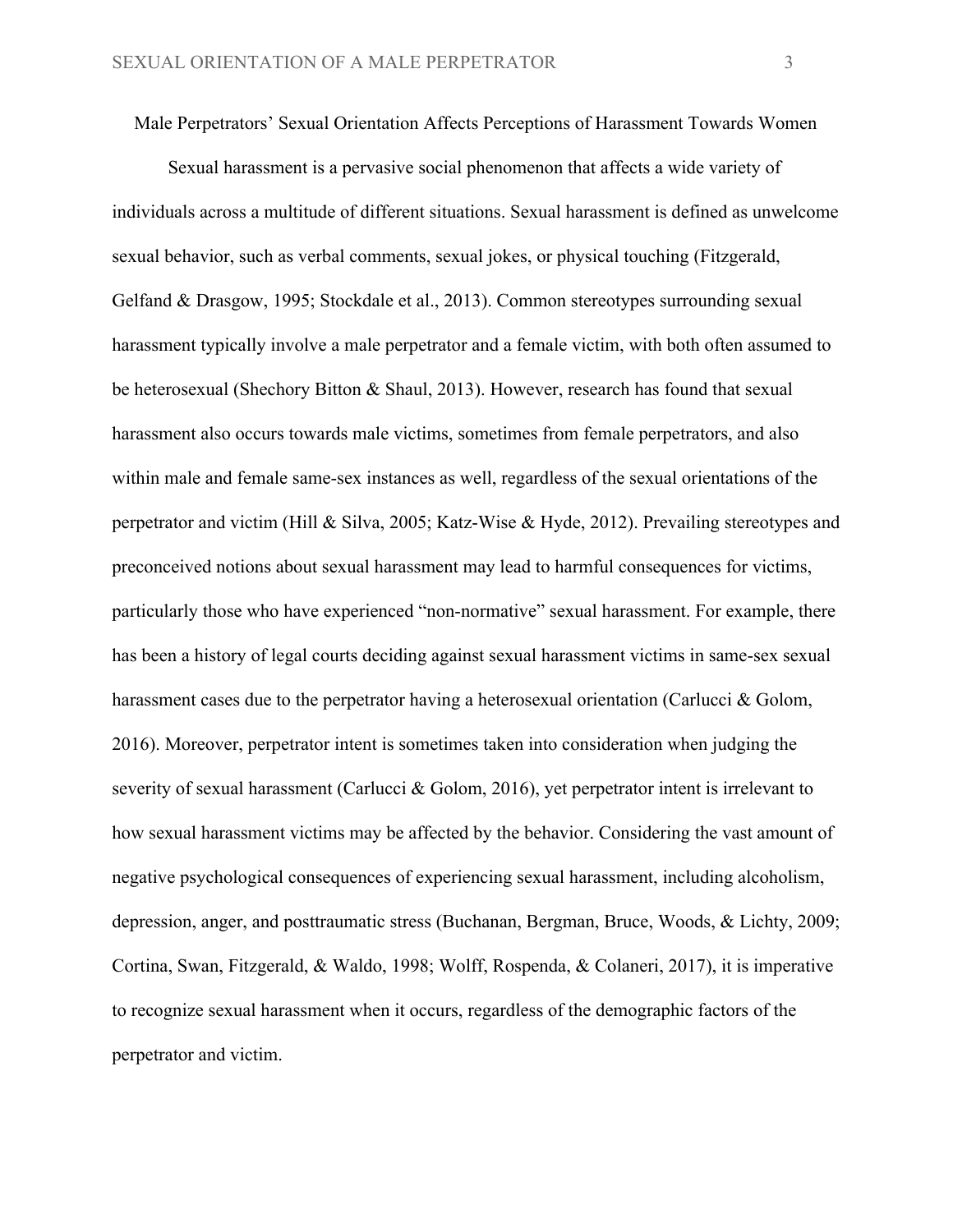Male Perpetrators' Sexual Orientation Affects Perceptions of Harassment Towards Women

Sexual harassment is a pervasive social phenomenon that affects a wide variety of individuals across a multitude of different situations. Sexual harassment is defined as unwelcome sexual behavior, such as verbal comments, sexual jokes, or physical touching (Fitzgerald, Gelfand & Drasgow, 1995; Stockdale et al., 2013). Common stereotypes surrounding sexual harassment typically involve a male perpetrator and a female victim, with both often assumed to be heterosexual (Shechory Bitton & Shaul, 2013). However, research has found that sexual harassment also occurs towards male victims, sometimes from female perpetrators, and also within male and female same-sex instances as well, regardless of the sexual orientations of the perpetrator and victim (Hill & Silva, 2005; Katz-Wise & Hyde, 2012). Prevailing stereotypes and preconceived notions about sexual harassment may lead to harmful consequences for victims, particularly those who have experienced "non-normative" sexual harassment. For example, there has been a history of legal courts deciding against sexual harassment victims in same-sex sexual harassment cases due to the perpetrator having a heterosexual orientation (Carlucci & Golom, 2016). Moreover, perpetrator intent is sometimes taken into consideration when judging the severity of sexual harassment (Carlucci & Golom, 2016), yet perpetrator intent is irrelevant to how sexual harassment victims may be affected by the behavior. Considering the vast amount of negative psychological consequences of experiencing sexual harassment, including alcoholism, depression, anger, and posttraumatic stress (Buchanan, Bergman, Bruce, Woods, & Lichty, 2009; Cortina, Swan, Fitzgerald, & Waldo, 1998; Wolff, Rospenda, & Colaneri, 2017), it is imperative to recognize sexual harassment when it occurs, regardless of the demographic factors of the perpetrator and victim.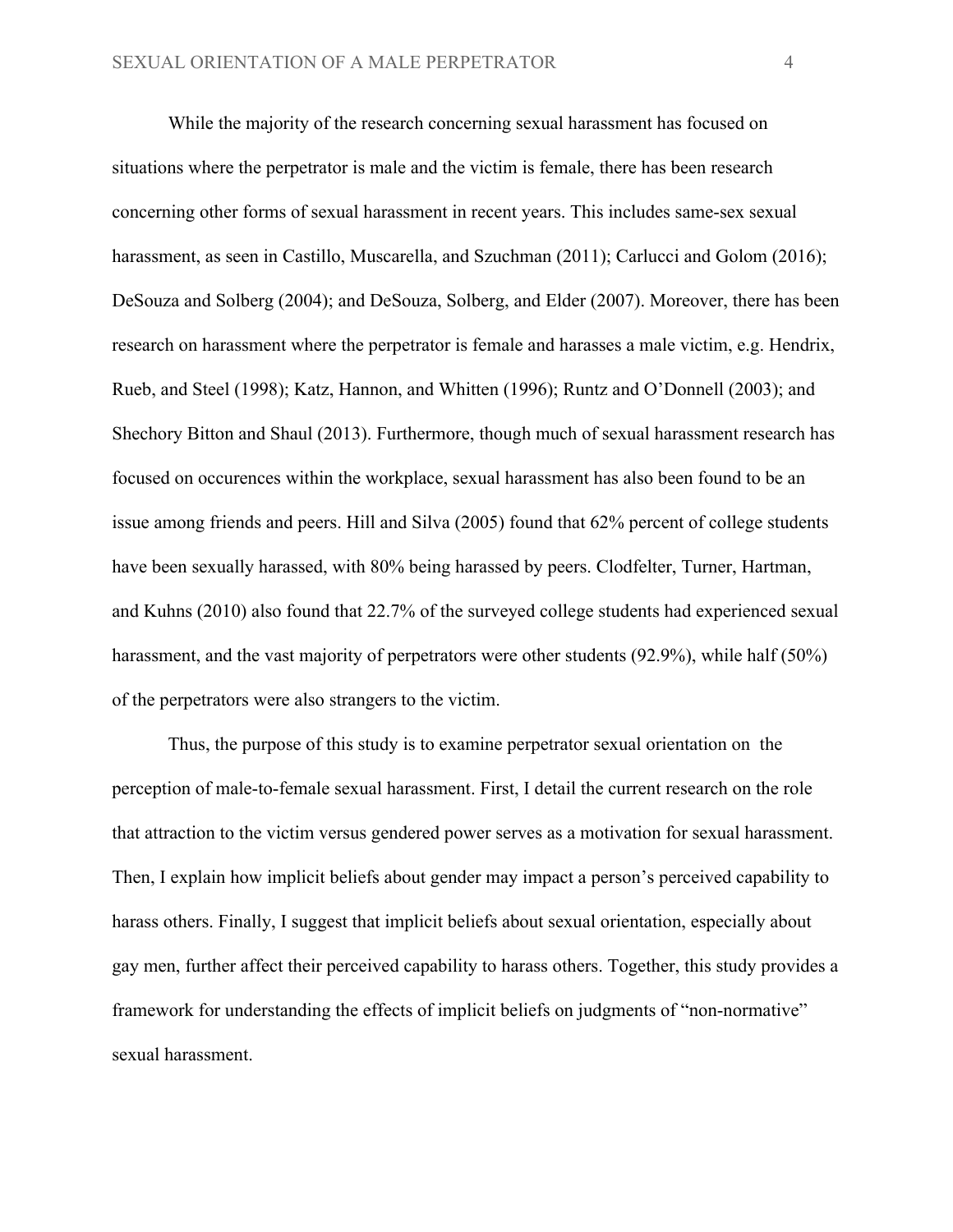While the majority of the research concerning sexual harassment has focused on situations where the perpetrator is male and the victim is female, there has been research concerning other forms of sexual harassment in recent years. This includes same-sex sexual harassment, as seen in Castillo, Muscarella, and Szuchman (2011); Carlucci and Golom (2016); DeSouza and Solberg (2004); and DeSouza, Solberg, and Elder (2007). Moreover, there has been research on harassment where the perpetrator is female and harasses a male victim, e.g. Hendrix, Rueb, and Steel (1998); Katz, Hannon, and Whitten (1996); Runtz and O'Donnell (2003); and Shechory Bitton and Shaul (2013). Furthermore, though much of sexual harassment research has focused on occurences within the workplace, sexual harassment has also been found to be an issue among friends and peers. Hill and Silva (2005) found that 62% percent of college students have been sexually harassed, with 80% being harassed by peers. Clodfelter, Turner, Hartman, and Kuhns (2010) also found that 22.7% of the surveyed college students had experienced sexual harassment, and the vast majority of perpetrators were other students (92.9%), while half (50%) of the perpetrators were also strangers to the victim.

Thus, the purpose of this study is to examine perpetrator sexual orientation on the perception of male-to-female sexual harassment. First, I detail the current research on the role that attraction to the victim versus gendered power serves as a motivation for sexual harassment. Then, I explain how implicit beliefs about gender may impact a person's perceived capability to harass others. Finally, I suggest that implicit beliefs about sexual orientation, especially about gay men, further affect their perceived capability to harass others. Together, this study provides a framework for understanding the effects of implicit beliefs on judgments of "non-normative" sexual harassment.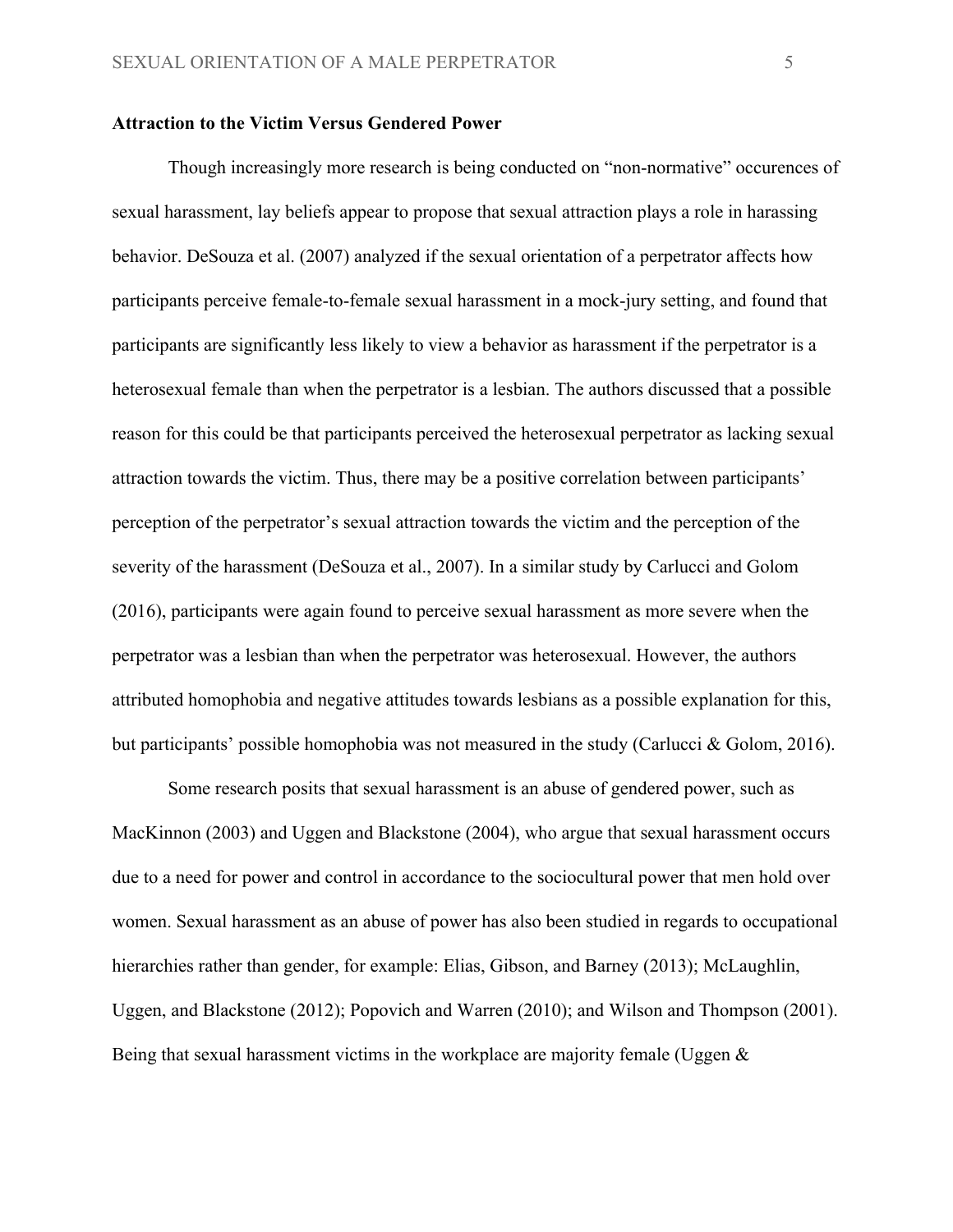## **Attraction to the Victim Versus Gendered Power**

Though increasingly more research is being conducted on "non-normative" occurences of sexual harassment, lay beliefs appear to propose that sexual attraction plays a role in harassing behavior. DeSouza et al. (2007) analyzed if the sexual orientation of a perpetrator affects how participants perceive female-to-female sexual harassment in a mock-jury setting, and found that participants are significantly less likely to view a behavior as harassment if the perpetrator is a heterosexual female than when the perpetrator is a lesbian. The authors discussed that a possible reason for this could be that participants perceived the heterosexual perpetrator as lacking sexual attraction towards the victim. Thus, there may be a positive correlation between participants' perception of the perpetrator's sexual attraction towards the victim and the perception of the severity of the harassment (DeSouza et al., 2007). In a similar study by Carlucci and Golom (2016), participants were again found to perceive sexual harassment as more severe when the perpetrator was a lesbian than when the perpetrator was heterosexual. However, the authors attributed homophobia and negative attitudes towards lesbians as a possible explanation for this, but participants' possible homophobia was not measured in the study (Carlucci & Golom, 2016).

Some research posits that sexual harassment is an abuse of gendered power, such as MacKinnon (2003) and Uggen and Blackstone (2004), who argue that sexual harassment occurs due to a need for power and control in accordance to the sociocultural power that men hold over women. Sexual harassment as an abuse of power has also been studied in regards to occupational hierarchies rather than gender, for example: Elias, Gibson, and Barney (2013); McLaughlin, Uggen, and Blackstone (2012); Popovich and Warren (2010); and Wilson and Thompson (2001). Being that sexual harassment victims in the workplace are majority female (Uggen  $\&$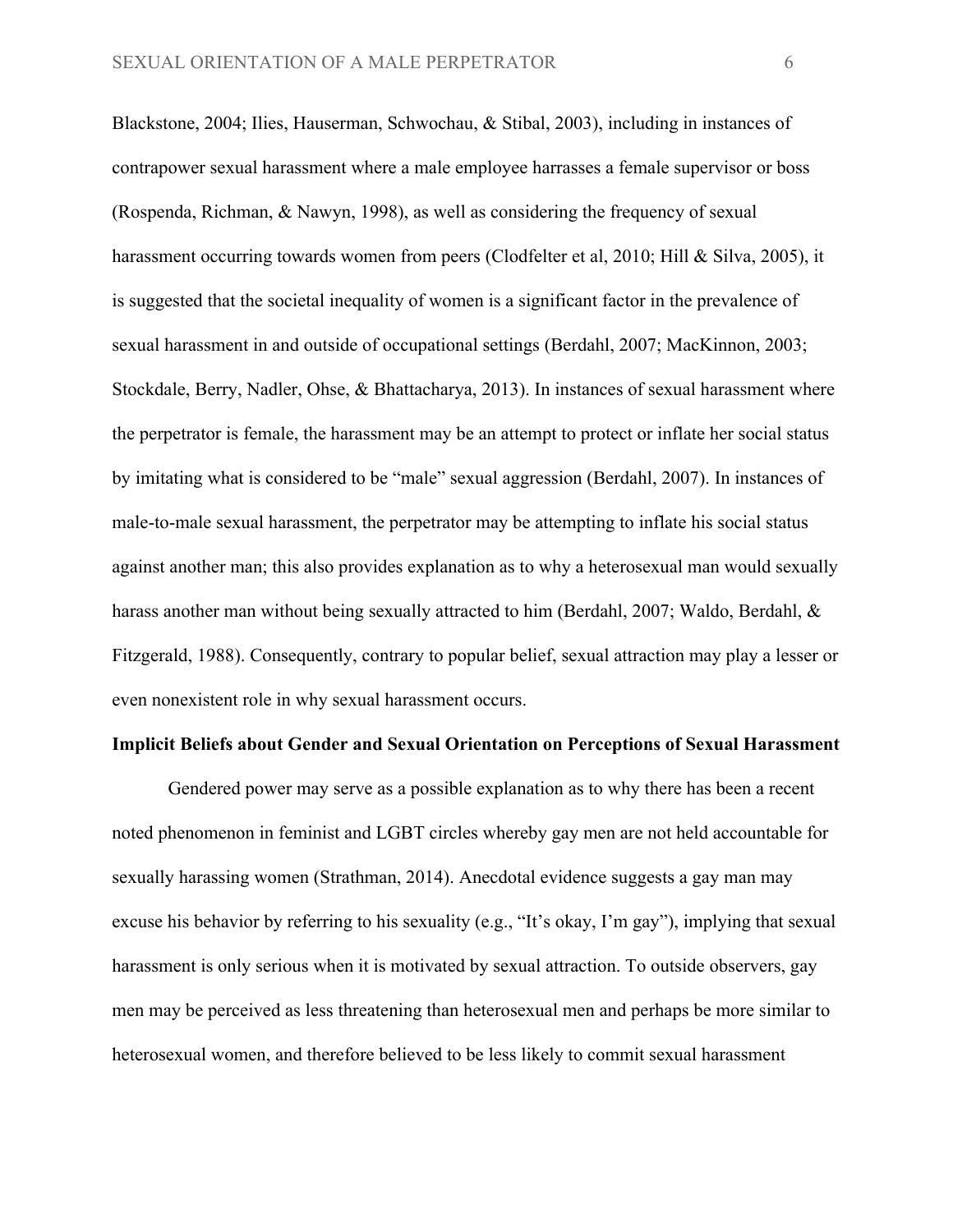Blackstone, 2004; Ilies, Hauserman, Schwochau, & Stibal, 2003), including in instances of contrapower sexual harassment where a male employee harrasses a female supervisor or boss (Rospenda, Richman, & Nawyn, 1998), as well as considering the frequency of sexual harassment occurring towards women from peers (Clodfelter et al, 2010; Hill & Silva, 2005), it is suggested that the societal inequality of women is a significant factor in the prevalence of sexual harassment in and outside of occupational settings (Berdahl, 2007; MacKinnon, 2003; Stockdale, Berry, Nadler, Ohse, & Bhattacharya, 2013). In instances of sexual harassment where the perpetrator is female, the harassment may be an attempt to protect or inflate her social status by imitating what is considered to be "male" sexual aggression (Berdahl, 2007). In instances of male-to-male sexual harassment, the perpetrator may be attempting to inflate his social status against another man; this also provides explanation as to why a heterosexual man would sexually harass another man without being sexually attracted to him (Berdahl, 2007; Waldo, Berdahl, & Fitzgerald, 1988). Consequently, contrary to popular belief, sexual attraction may play a lesser or even nonexistent role in why sexual harassment occurs.

## **Implicit Beliefs about Gender and Sexual Orientation on Perceptions of Sexual Harassment**

Gendered power may serve as a possible explanation as to why there has been a recent noted phenomenon in feminist and LGBT circles whereby gay men are not held accountable for sexually harassing women (Strathman, 2014). Anecdotal evidence suggests a gay man may excuse his behavior by referring to his sexuality (e.g., "It's okay, I'm gay"), implying that sexual harassment is only serious when it is motivated by sexual attraction. To outside observers, gay men may be perceived as less threatening than heterosexual men and perhaps be more similar to heterosexual women, and therefore believed to be less likely to commit sexual harassment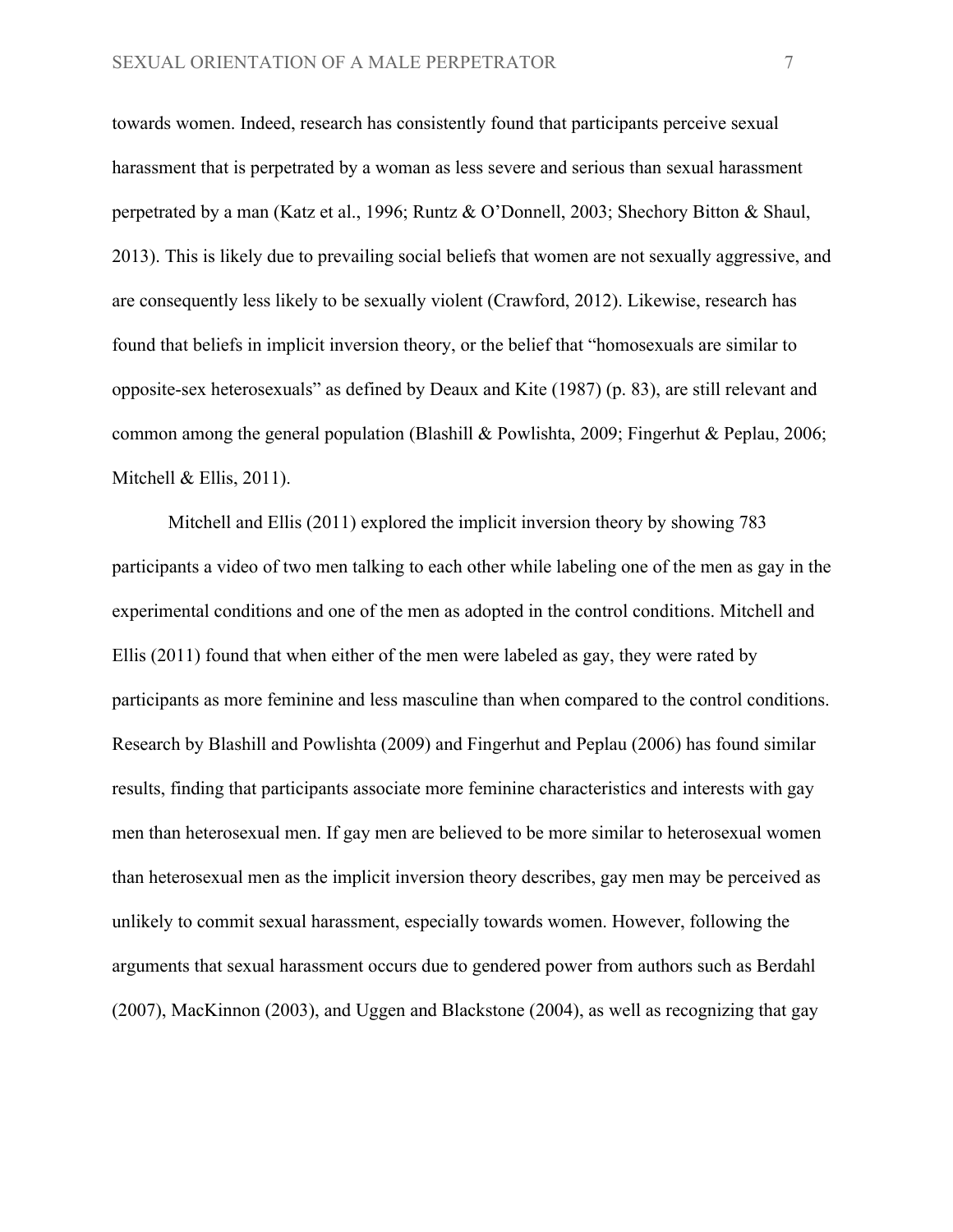towards women. Indeed, research has consistently found that participants perceive sexual harassment that is perpetrated by a woman as less severe and serious than sexual harassment perpetrated by a man (Katz et al., 1996; Runtz & O'Donnell, 2003; Shechory Bitton & Shaul, 2013). This is likely due to prevailing social beliefs that women are not sexually aggressive, and are consequently less likely to be sexually violent (Crawford, 2012). Likewise, research has found that beliefs in implicit inversion theory, or the belief that "homosexuals are similar to opposite-sex heterosexuals" as defined by Deaux and Kite (1987) (p. 83), are still relevant and common among the general population (Blashill & Powlishta, 2009; Fingerhut & Peplau, 2006; Mitchell  $&$  Ellis, 2011).

Mitchell and Ellis (2011) explored the implicit inversion theory by showing 783 participants a video of two men talking to each other while labeling one of the men as gay in the experimental conditions and one of the men as adopted in the control conditions. Mitchell and Ellis (2011) found that when either of the men were labeled as gay, they were rated by participants as more feminine and less masculine than when compared to the control conditions. Research by Blashill and Powlishta (2009) and Fingerhut and Peplau (2006) has found similar results, finding that participants associate more feminine characteristics and interests with gay men than heterosexual men. If gay men are believed to be more similar to heterosexual women than heterosexual men as the implicit inversion theory describes, gay men may be perceived as unlikely to commit sexual harassment, especially towards women. However, following the arguments that sexual harassment occurs due to gendered power from authors such as Berdahl (2007), MacKinnon (2003), and Uggen and Blackstone (2004), as well as recognizing that gay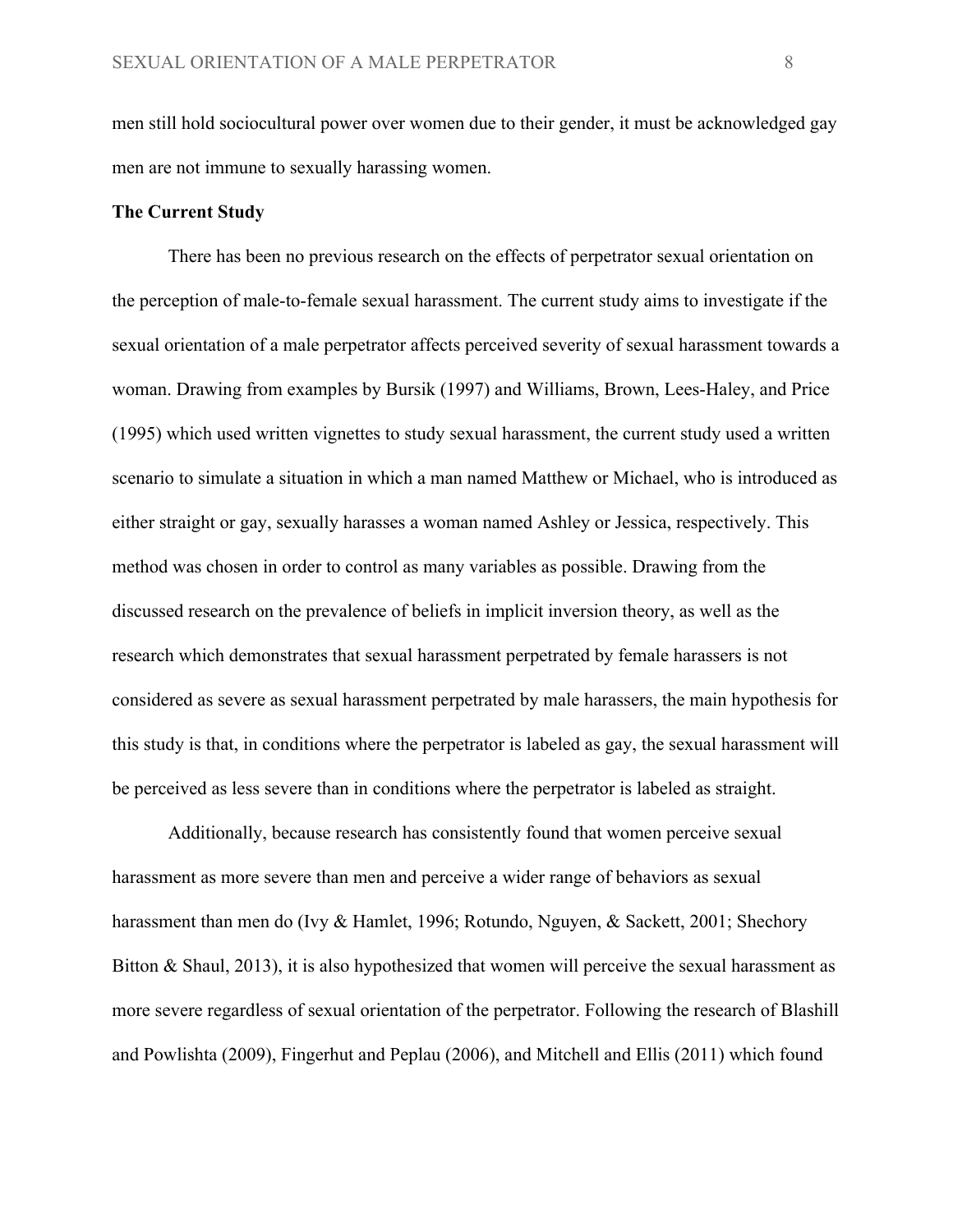men still hold sociocultural power over women due to their gender, it must be acknowledged gay men are not immune to sexually harassing women.

## **The Current Study**

There has been no previous research on the effects of perpetrator sexual orientation on the perception of male-to-female sexual harassment. The current study aims to investigate if the sexual orientation of a male perpetrator affects perceived severity of sexual harassment towards a woman. Drawing from examples by Bursik (1997) and Williams, Brown, Lees-Haley, and Price (1995) which used written vignettes to study sexual harassment, the current study used a written scenario to simulate a situation in which a man named Matthew or Michael, who is introduced as either straight or gay, sexually harasses a woman named Ashley or Jessica, respectively. This method was chosen in order to control as many variables as possible. Drawing from the discussed research on the prevalence of beliefs in implicit inversion theory, as well as the research which demonstrates that sexual harassment perpetrated by female harassers is not considered as severe as sexual harassment perpetrated by male harassers, the main hypothesis for this study is that, in conditions where the perpetrator is labeled as gay, the sexual harassment will be perceived as less severe than in conditions where the perpetrator is labeled as straight.

Additionally, because research has consistently found that women perceive sexual harassment as more severe than men and perceive a wider range of behaviors as sexual harassment than men do (Ivy & Hamlet, 1996; Rotundo, Nguyen, & Sackett, 2001; Shechory Bitton & Shaul, 2013), it is also hypothesized that women will perceive the sexual harassment as more severe regardless of sexual orientation of the perpetrator. Following the research of Blashill and Powlishta (2009), Fingerhut and Peplau (2006), and Mitchell and Ellis (2011) which found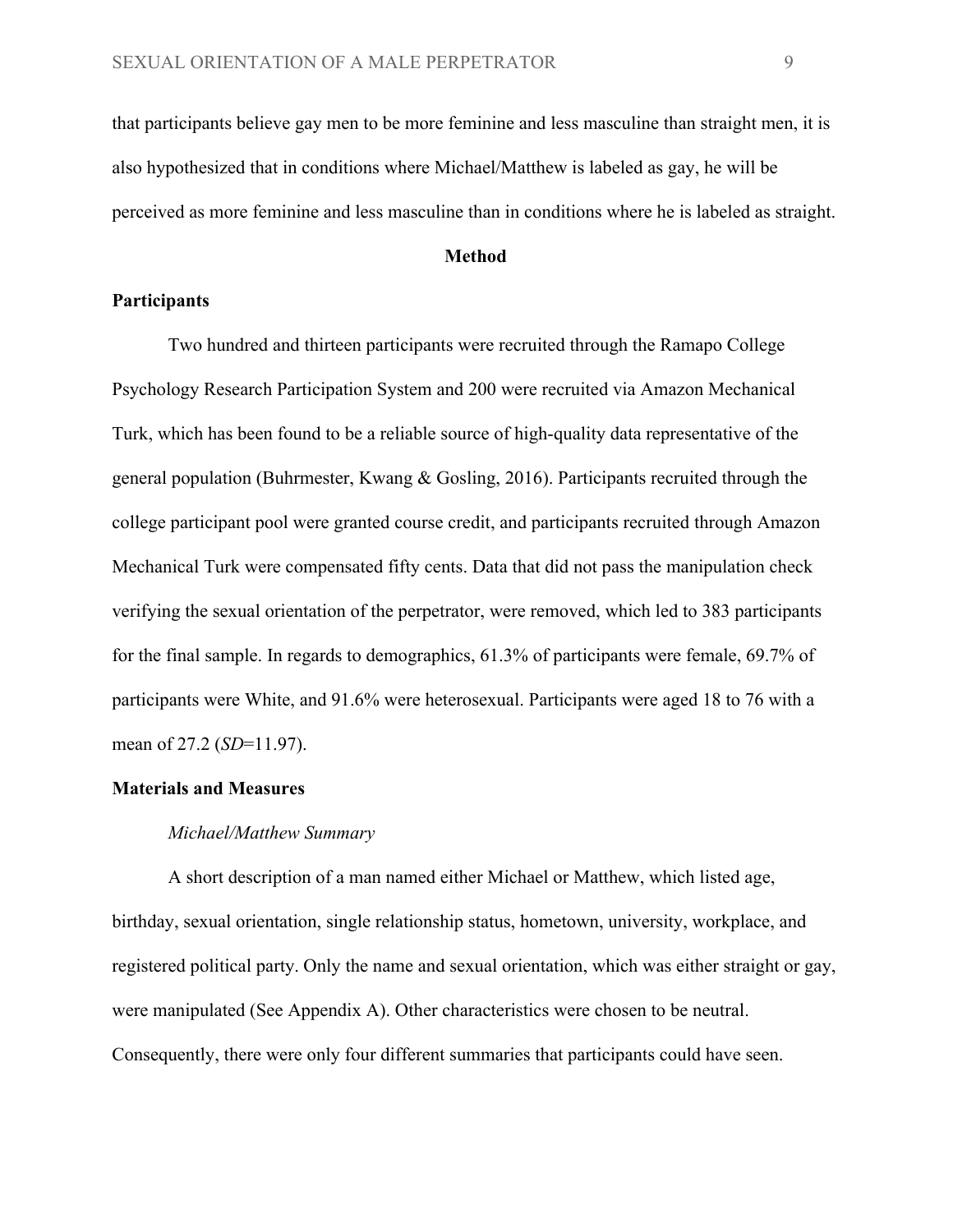that participants believe gay men to be more feminine and less masculine than straight men, it is also hypothesized that in conditions where Michael/Matthew is labeled as gay, he will be perceived as more feminine and less masculine than in conditions where he is labeled as straight.

# **Method**

# **Participants**

Two hundred and thirteen participants were recruited through the Ramapo College Psychology Research Participation System and 200 were recruited via Amazon Mechanical Turk, which has been found to be a reliable source of high-quality data representative of the general population (Buhrmester, Kwang & Gosling, 2016). Participants recruited through the college participant pool were granted course credit, and participants recruited through Amazon Mechanical Turk were compensated fifty cents. Data that did not pass the manipulation check verifying the sexual orientation of the perpetrator, were removed, which led to 383 participants for the final sample. In regards to demographics, 61.3% of participants were female, 69.7% of participants were White, and 91.6% were heterosexual. Participants were aged 18 to 76 with a mean of 27.2 (*SD*=11.97).

#### **Materials and Measures**

#### *Michael/Matthew Summary*

A short description of a man named either Michael or Matthew, which listed age, birthday, sexual orientation, single relationship status, hometown, university, workplace, and registered political party. Only the name and sexual orientation, which was either straight or gay, were manipulated (See Appendix A). Other characteristics were chosen to be neutral. Consequently, there were only four different summaries that participants could have seen.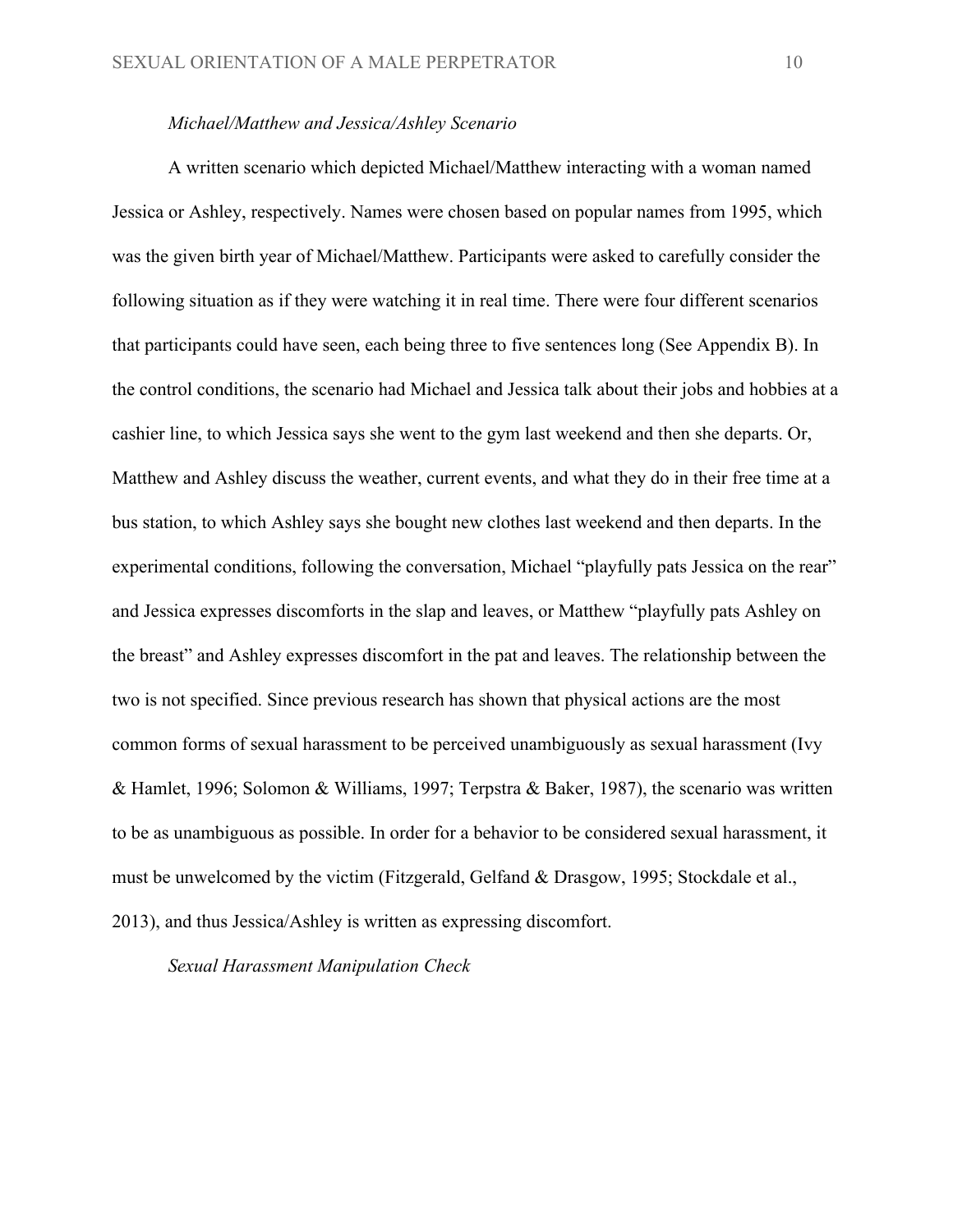## *Michael/Matthew and Jessica/Ashley Scenario*

A written scenario which depicted Michael/Matthew interacting with a woman named Jessica or Ashley, respectively. Names were chosen based on popular names from 1995, which was the given birth year of Michael/Matthew. Participants were asked to carefully consider the following situation as if they were watching it in real time. There were four different scenarios that participants could have seen, each being three to five sentences long (See Appendix B). In the control conditions, the scenario had Michael and Jessica talk about their jobs and hobbies at a cashier line, to which Jessica says she went to the gym last weekend and then she departs. Or, Matthew and Ashley discuss the weather, current events, and what they do in their free time at a bus station, to which Ashley says she bought new clothes last weekend and then departs. In the experimental conditions, following the conversation, Michael "playfully pats Jessica on the rear" and Jessica expresses discomforts in the slap and leaves, or Matthew "playfully pats Ashley on the breast" and Ashley expresses discomfort in the pat and leaves. The relationship between the two is not specified. Since previous research has shown that physical actions are the most common forms of sexual harassment to be perceived unambiguously as sexual harassment (Ivy & Hamlet, 1996; Solomon & Williams, 1997; Terpstra & Baker, 1987), the scenario was written to be as unambiguous as possible. In order for a behavior to be considered sexual harassment, it must be unwelcomed by the victim (Fitzgerald, Gelfand & Drasgow, 1995; Stockdale et al., 2013), and thus Jessica/Ashley is written as expressing discomfort.

## *Sexual Harassment Manipulation Check*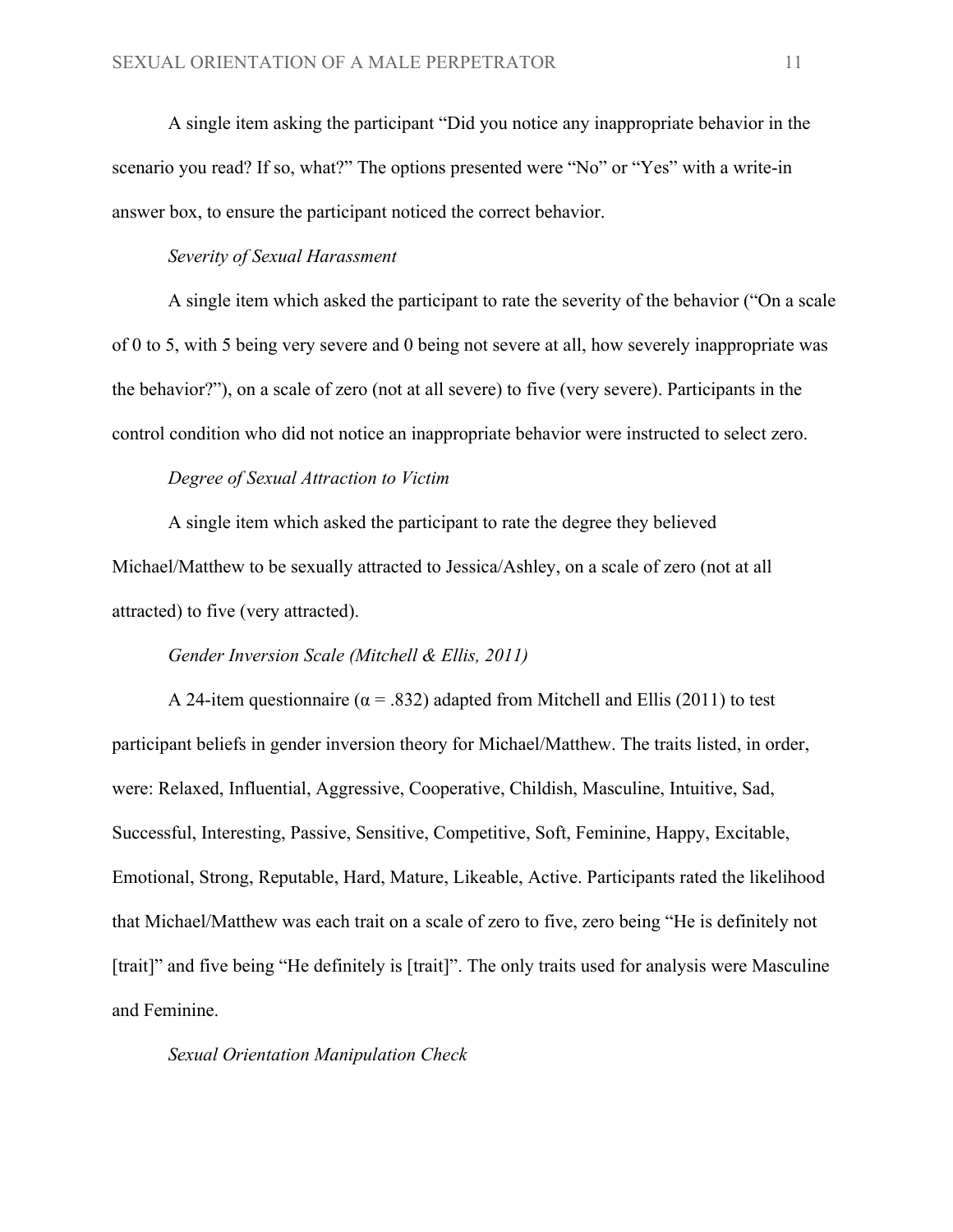A single item asking the participant "Did you notice any inappropriate behavior in the scenario you read? If so, what?" The options presented were "No" or "Yes" with a write-in answer box, to ensure the participant noticed the correct behavior.

# *Severity of Sexual Harassment*

A single item which asked the participant to rate the severity of the behavior ("On a scale of 0 to 5, with 5 being very severe and 0 being not severe at all, how severely inappropriate was the behavior?"), on a scale of zero (not at all severe) to five (very severe). Participants in the control condition who did not notice an inappropriate behavior were instructed to select zero.

## *Degree of Sexual Attraction to Victim*

A single item which asked the participant to rate the degree they believed Michael/Matthew to be sexually attracted to Jessica/Ashley, on a scale of zero (not at all attracted) to five (very attracted).

#### *Gender Inversion Scale (Mitchell & Ellis, 2011)*

A 24-item questionnaire ( $\alpha$  = .832) adapted from Mitchell and Ellis (2011) to test participant beliefs in gender inversion theory for Michael/Matthew. The traits listed, in order, were: Relaxed, Influential, Aggressive, Cooperative, Childish, Masculine, Intuitive, Sad, Successful, Interesting, Passive, Sensitive, Competitive, Soft, Feminine, Happy, Excitable, Emotional, Strong, Reputable, Hard, Mature, Likeable, Active. Participants rated the likelihood that Michael/Matthew was each trait on a scale of zero to five, zero being "He is definitely not [trait]" and five being "He definitely is [trait]". The only traits used for analysis were Masculine and Feminine.

#### *Sexual Orientation Manipulation Check*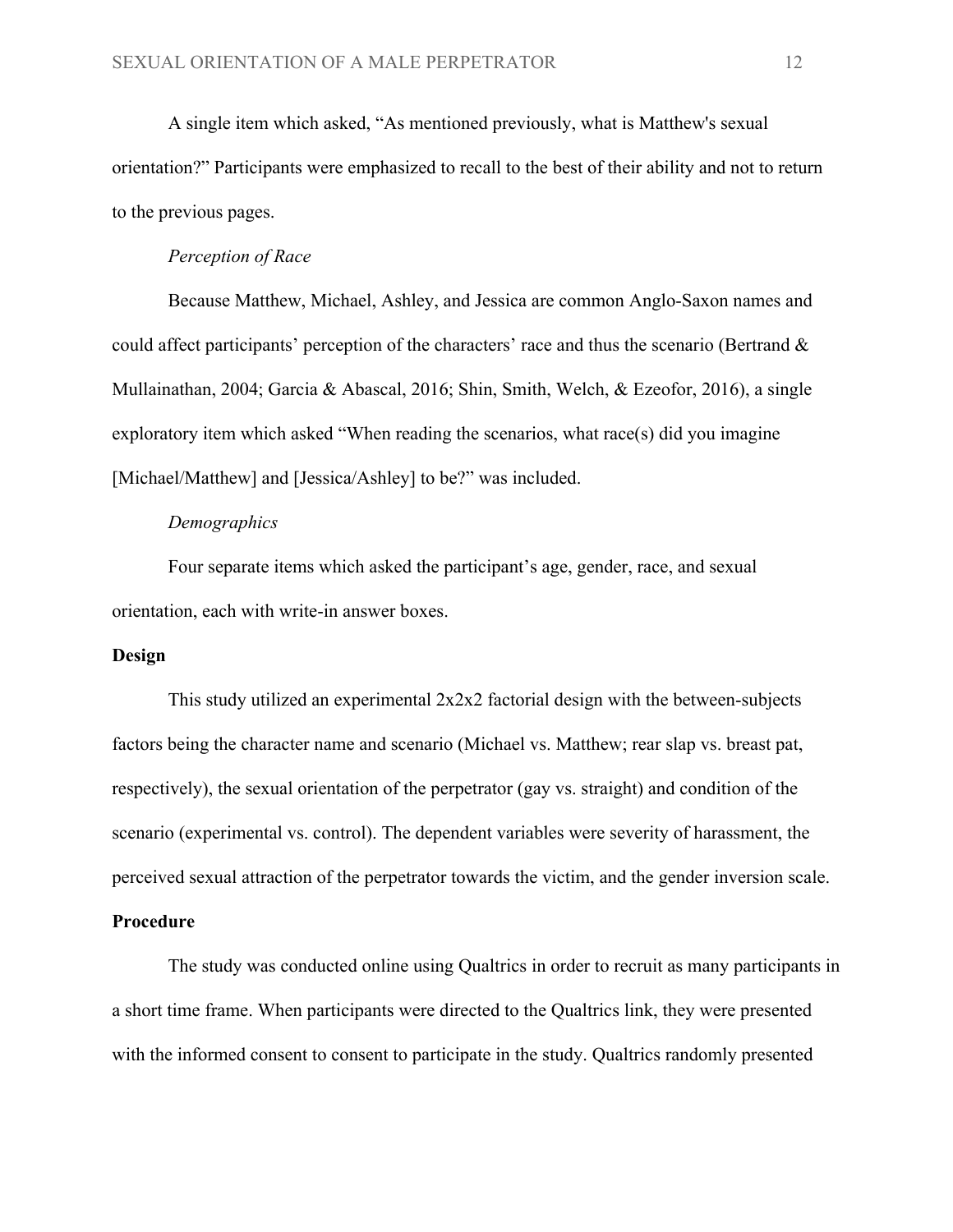A single item which asked, "As mentioned previously, what is Matthew's sexual orientation?" Participants were emphasized to recall to the best of their ability and not to return to the previous pages.

# *Perception of Race*

Because Matthew, Michael, Ashley, and Jessica are common Anglo-Saxon names and could affect participants' perception of the characters' race and thus the scenario (Bertrand & Mullainathan, 2004; Garcia & Abascal, 2016; Shin, Smith, Welch, & Ezeofor, 2016), a single exploratory item which asked "When reading the scenarios, what race(s) did you imagine [Michael/Matthew] and [Jessica/Ashley] to be?" was included.

## *Demographics*

Four separate items which asked the participant's age, gender, race, and sexual orientation, each with write-in answer boxes.

## **Design**

This study utilized an experimental 2x2x2 factorial design with the between-subjects factors being the character name and scenario (Michael vs. Matthew; rear slap vs. breast pat, respectively), the sexual orientation of the perpetrator (gay vs. straight) and condition of the scenario (experimental vs. control). The dependent variables were severity of harassment, the perceived sexual attraction of the perpetrator towards the victim, and the gender inversion scale.

## **Procedure**

The study was conducted online using Qualtrics in order to recruit as many participants in a short time frame. When participants were directed to the Qualtrics link, they were presented with the informed consent to consent to participate in the study. Qualtrics randomly presented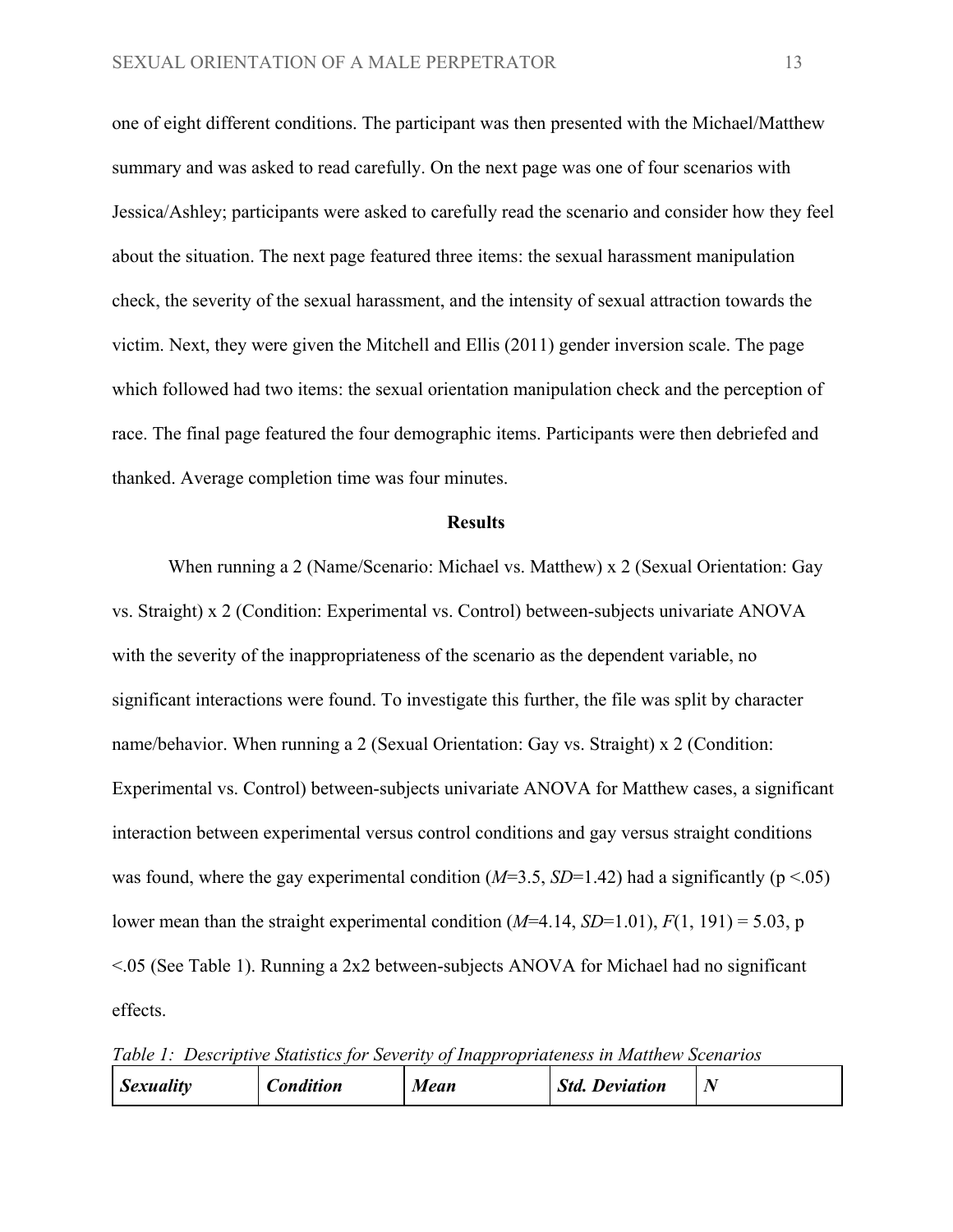one of eight different conditions. The participant was then presented with the Michael/Matthew summary and was asked to read carefully. On the next page was one of four scenarios with Jessica/Ashley; participants were asked to carefully read the scenario and consider how they feel about the situation. The next page featured three items: the sexual harassment manipulation check, the severity of the sexual harassment, and the intensity of sexual attraction towards the victim. Next, they were given the Mitchell and Ellis (2011) gender inversion scale. The page which followed had two items: the sexual orientation manipulation check and the perception of race. The final page featured the four demographic items. Participants were then debriefed and thanked. Average completion time was four minutes.

#### **Results**

When running a 2 (Name/Scenario: Michael vs. Matthew) x 2 (Sexual Orientation: Gay vs. Straight) x 2 (Condition: Experimental vs. Control) between-subjects univariate ANOVA with the severity of the inappropriateness of the scenario as the dependent variable, no significant interactions were found. To investigate this further, the file was split by character name/behavior. When running a 2 (Sexual Orientation: Gay vs. Straight) x 2 (Condition: Experimental vs. Control) between-subjects univariate ANOVA for Matthew cases, a significant interaction between experimental versus control conditions and gay versus straight conditions was found, where the gay experimental condition  $(M=3.5, SD=1.42)$  had a significantly ( $p < .05$ ) lower mean than the straight experimental condition  $(M=4.14, SD=1.01)$ ,  $F(1, 191) = 5.03$ , p <.05 (See Table 1). Running a 2x2 between-subjects ANOVA for Michael had no significant effects.

*Table 1: Descriptive Statistics for Severity of Inappropriateness in Matthew Scenarios*

| <b>Sexuality</b> | <b>Condition</b> | Mean | <b>Std. Deviation</b> |  |
|------------------|------------------|------|-----------------------|--|
|------------------|------------------|------|-----------------------|--|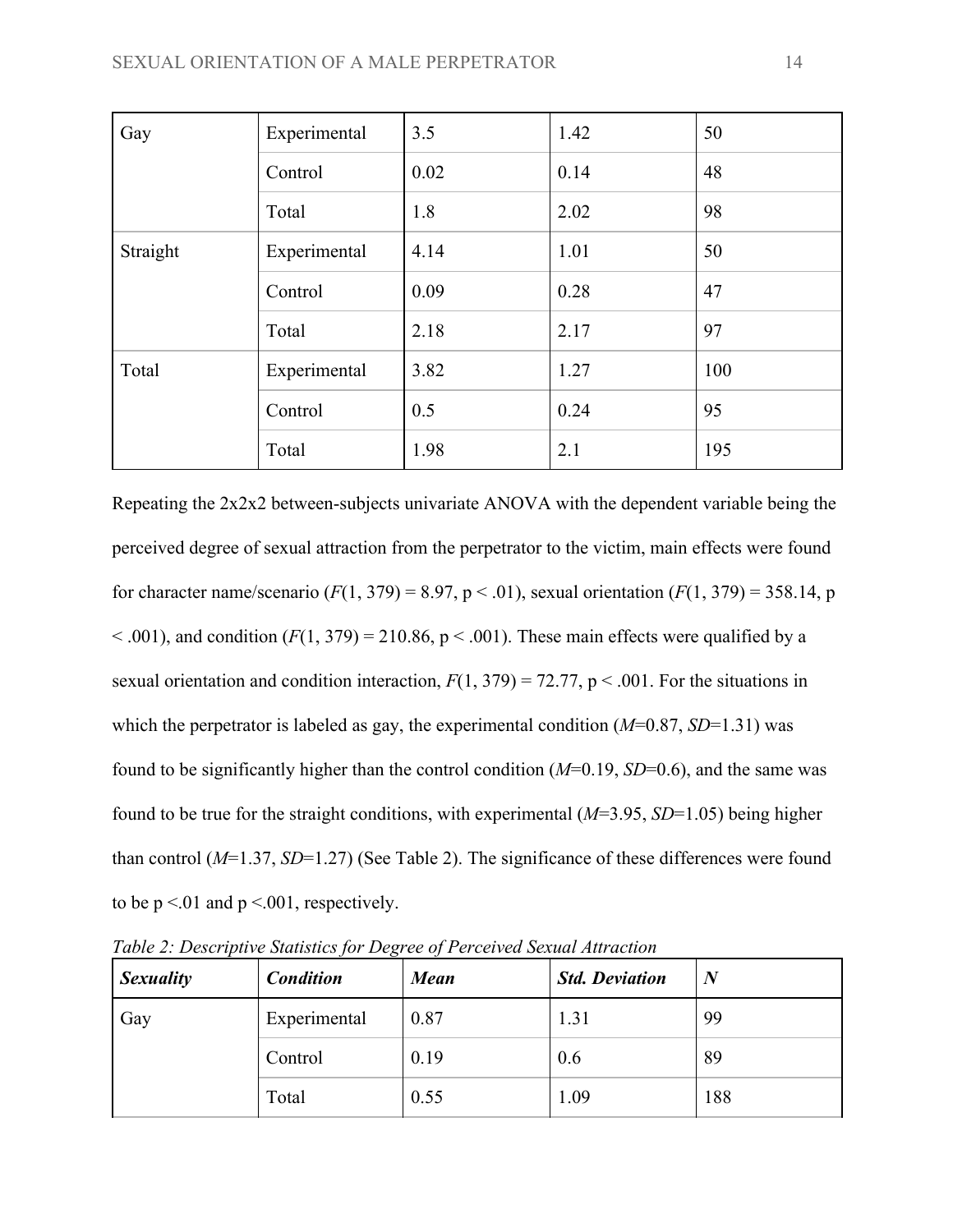| Gay      | Experimental | 3.5  | 1.42 | 50  |
|----------|--------------|------|------|-----|
|          | Control      | 0.02 | 0.14 | 48  |
|          | Total        | 1.8  | 2.02 | 98  |
| Straight | Experimental | 4.14 | 1.01 | 50  |
|          | Control      | 0.09 | 0.28 | 47  |
|          | Total        | 2.18 | 2.17 | 97  |
| Total    | Experimental | 3.82 | 1.27 | 100 |
|          | Control      | 0.5  | 0.24 | 95  |
|          | Total        | 1.98 | 2.1  | 195 |

Repeating the 2x2x2 between-subjects univariate ANOVA with the dependent variable being the perceived degree of sexual attraction from the perpetrator to the victim, main effects were found for character name/scenario  $(F(1, 379) = 8.97, p < .01)$ , sexual orientation  $(F(1, 379) = 358.14, p$  $< .001$ ), and condition ( $F(1, 379) = 210.86$ ,  $p < .001$ ). These main effects were qualified by a sexual orientation and condition interaction,  $F(1, 379) = 72.77$ ,  $p < .001$ . For the situations in which the perpetrator is labeled as gay, the experimental condition ( $M=0.87$ ,  $SD=1.31$ ) was found to be significantly higher than the control condition (*M*=0.19, *SD*=0.6), and the same was found to be true for the straight conditions, with experimental (*M*=3.95, *SD*=1.05) being higher than control (*M*=1.37, *SD*=1.27) (See Table 2). The significance of these differences were found to be  $p \le 01$  and  $p \le 001$ , respectively.

| <b>Sexuality</b> | <b>Condition</b> | <b>Mean</b> | <b>Std. Deviation</b> | $\boldsymbol{N}$ |
|------------------|------------------|-------------|-----------------------|------------------|
| Gay              | Experimental     | 0.87        | 1.31                  | 99               |
|                  | Control          | 0.19        | 0.6                   | 89               |
|                  | Total            | 0.55        | 1.09                  | 188              |

*Table 2: Descriptive Statistics for Degree of Perceived Sexual Attraction*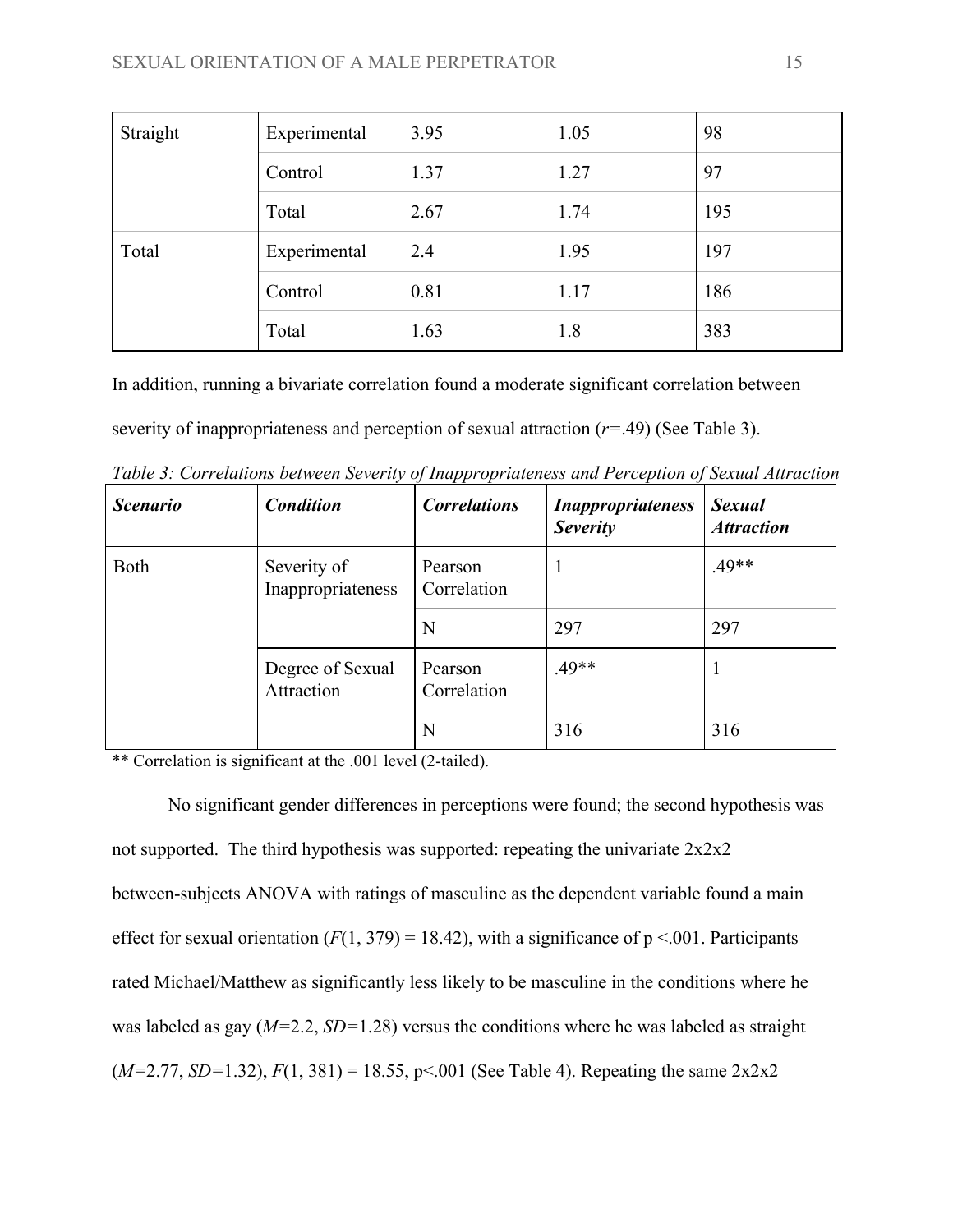| Straight | Experimental | 3.95 | 1.05 | 98  |
|----------|--------------|------|------|-----|
|          | Control      | 1.37 | 1.27 | 97  |
|          | Total        | 2.67 | 1.74 | 195 |
| Total    | Experimental | 2.4  | 1.95 | 197 |
|          | Control      | 0.81 | 1.17 | 186 |
|          | Total        | 1.63 | 1.8  | 383 |

In addition, running a bivariate correlation found a moderate significant correlation between severity of inappropriateness and perception of sexual attraction (*r=*.49) (See Table 3).

| <b>Scenario</b> | <b>Condition</b>                 | . .<br><b>Correlations</b> | <b>Inappropriateness</b><br><b>Severity</b> | <b>Sexual</b><br><b>Attraction</b> |
|-----------------|----------------------------------|----------------------------|---------------------------------------------|------------------------------------|
| Both            | Severity of<br>Inappropriateness | Pearson<br>Correlation     | ı                                           | $.49**$                            |
|                 |                                  | N                          | 297                                         | 297                                |
|                 | Degree of Sexual<br>Attraction   | Pearson<br>Correlation     | $.49**$                                     |                                    |
|                 |                                  | N                          | 316                                         | 316                                |

*Table 3: Correlations between Severity of Inappropriateness and Perception of Sexual Attraction*

\*\* Correlation is significant at the .001 level (2-tailed).

No significant gender differences in perceptions were found; the second hypothesis was not supported. The third hypothesis was supported: repeating the univariate 2x2x2 between-subjects ANOVA with ratings of masculine as the dependent variable found a main effect for sexual orientation  $(F(1, 379) = 18.42)$ , with a significance of  $p < 001$ . Participants rated Michael/Matthew as significantly less likely to be masculine in the conditions where he was labeled as gay (*M=*2.2, *SD=*1.28) versus the conditions where he was labeled as straight  $(M=2.77, SD=1.32), F(1, 381) = 18.55, p<0.001$  (See Table 4). Repeating the same  $2x2x2$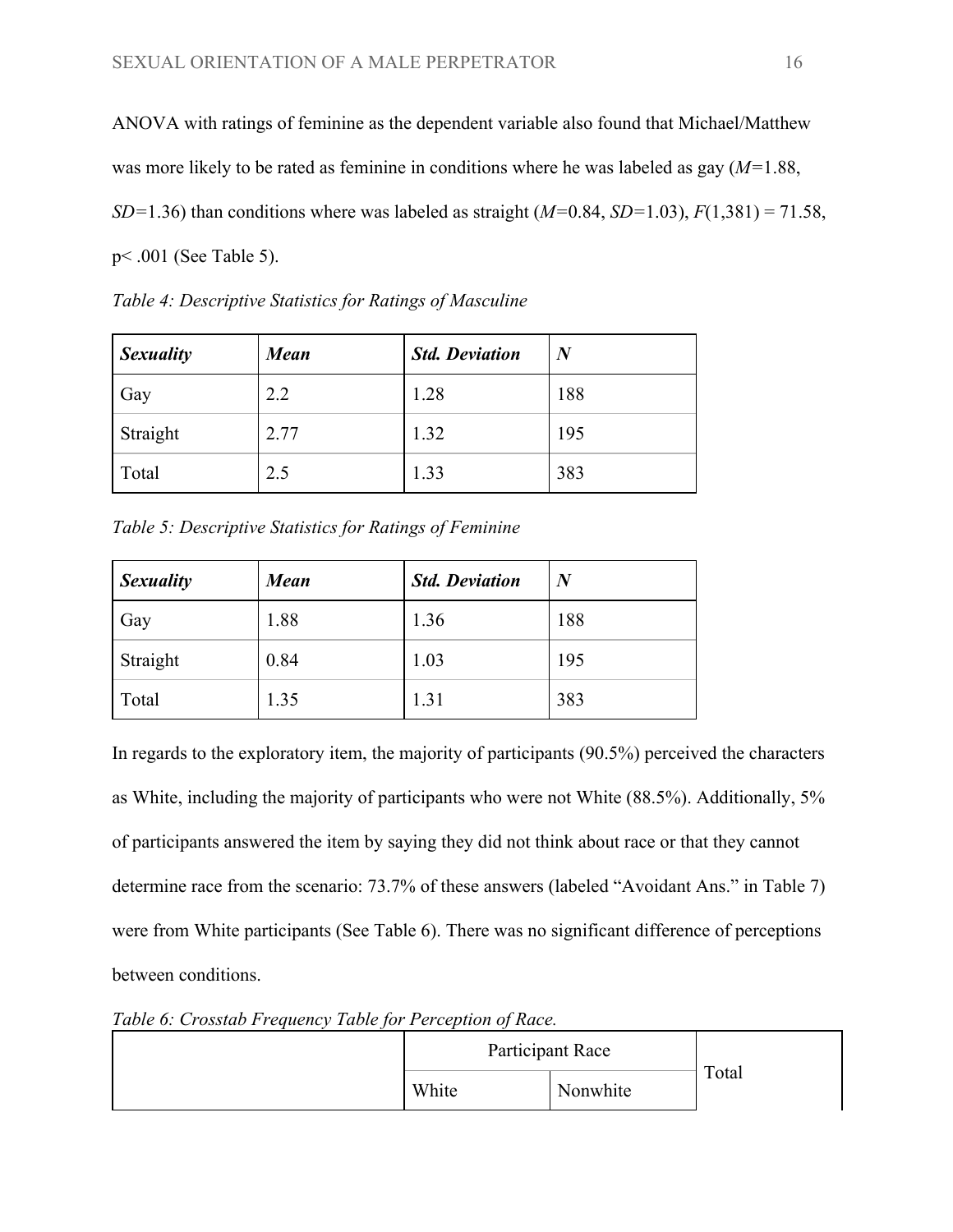ANOVA with ratings of feminine as the dependent variable also found that Michael/Matthew was more likely to be rated as feminine in conditions where he was labeled as gay (*M=*1.88, *SD=*1.36) than conditions where was labeled as straight (*M=*0.84, *SD=*1.03), *F*(1,381) = 71.58, p< .001 (See Table 5).

| <b>Sexuality</b> | <b>Mean</b> | <b>Std. Deviation</b> | $\bm{N}$ |
|------------------|-------------|-----------------------|----------|
| Gay              | 2.2         | 1.28                  | 188      |
| Straight         | 2.77        | 1.32                  | 195      |
| Total            | 2.5         | 1.33                  | 383      |

*Table 4: Descriptive Statistics for Ratings of Masculine*

*Table 5: Descriptive Statistics for Ratings of Feminine*

| <b>Sexuality</b> | <b>Mean</b> | <b>Std. Deviation</b> | $\boldsymbol{N}$ |
|------------------|-------------|-----------------------|------------------|
| Gay              | 1.88        | 1.36                  | 188              |
| Straight         | 0.84        | 1.03                  | 195              |
| Total            | 1.35        | 1.31                  | 383              |

In regards to the exploratory item, the majority of participants (90.5%) perceived the characters as White, including the majority of participants who were not White (88.5%). Additionally, 5% of participants answered the item by saying they did not think about race or that they cannot determine race from the scenario: 73.7% of these answers (labeled "Avoidant Ans." in Table 7) were from White participants (See Table 6). There was no significant difference of perceptions between conditions.

*Table 6: Crosstab Frequency Table for Perception of Race.*

| Participant Race |          |       |
|------------------|----------|-------|
| White            | Nonwhite | Total |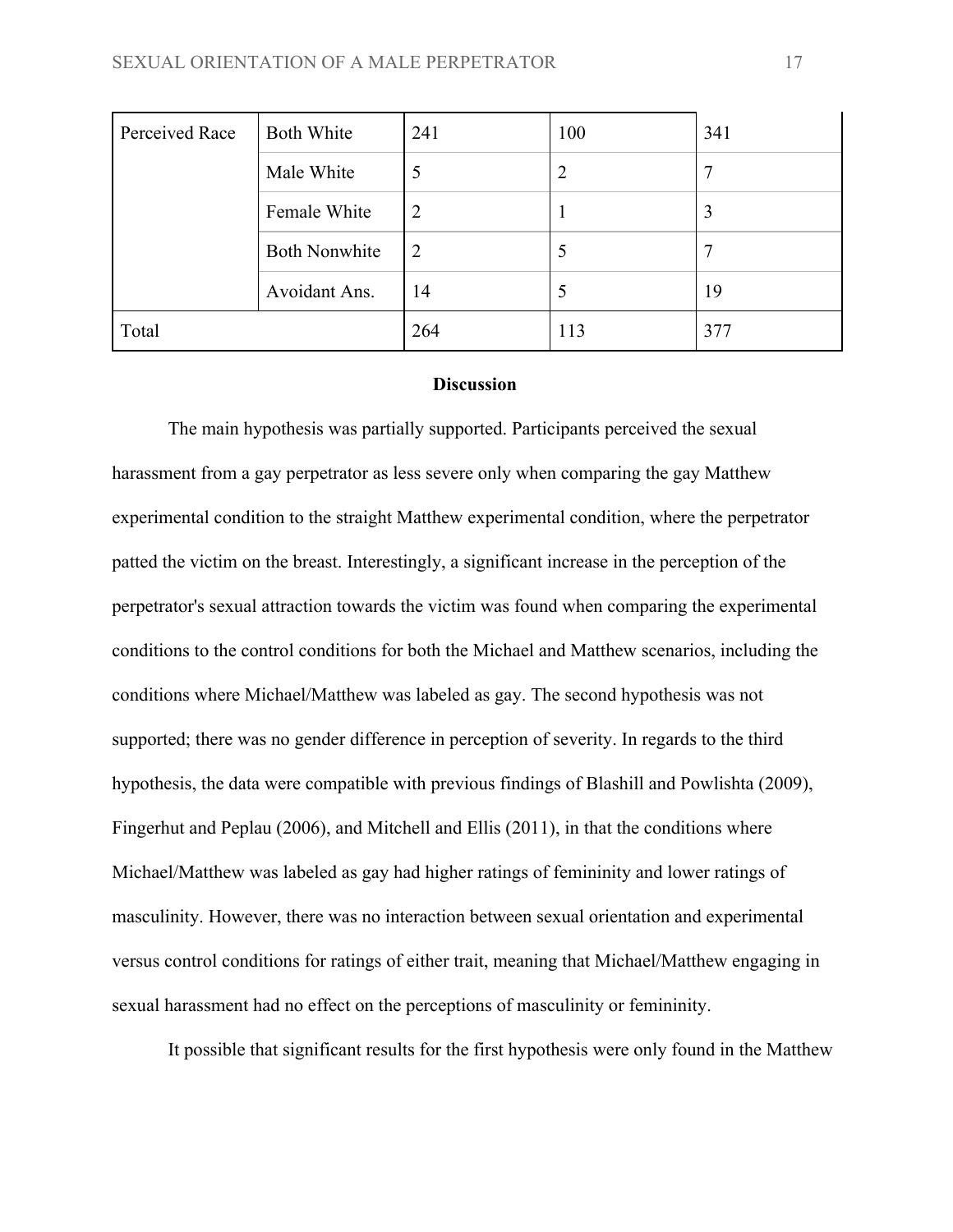| Perceived Race | <b>Both White</b>    | 241            | 100            | 341 |
|----------------|----------------------|----------------|----------------|-----|
|                | Male White           | 5              | $\overline{2}$ | 7   |
|                | Female White         | $\overline{2}$ |                | 3   |
|                | <b>Both Nonwhite</b> | 2              | 5              |     |
|                | Avoidant Ans.        | 14             | 5              | 19  |
| Total          |                      | 264            | 113            | 377 |

## **Discussion**

The main hypothesis was partially supported. Participants perceived the sexual harassment from a gay perpetrator as less severe only when comparing the gay Matthew experimental condition to the straight Matthew experimental condition, where the perpetrator patted the victim on the breast. Interestingly, a significant increase in the perception of the perpetrator's sexual attraction towards the victim was found when comparing the experimental conditions to the control conditions for both the Michael and Matthew scenarios, including the conditions where Michael/Matthew was labeled as gay. The second hypothesis was not supported; there was no gender difference in perception of severity. In regards to the third hypothesis, the data were compatible with previous findings of Blashill and Powlishta (2009), Fingerhut and Peplau (2006), and Mitchell and Ellis (2011), in that the conditions where Michael/Matthew was labeled as gay had higher ratings of femininity and lower ratings of masculinity. However, there was no interaction between sexual orientation and experimental versus control conditions for ratings of either trait, meaning that Michael/Matthew engaging in sexual harassment had no effect on the perceptions of masculinity or femininity.

It possible that significant results for the first hypothesis were only found in the Matthew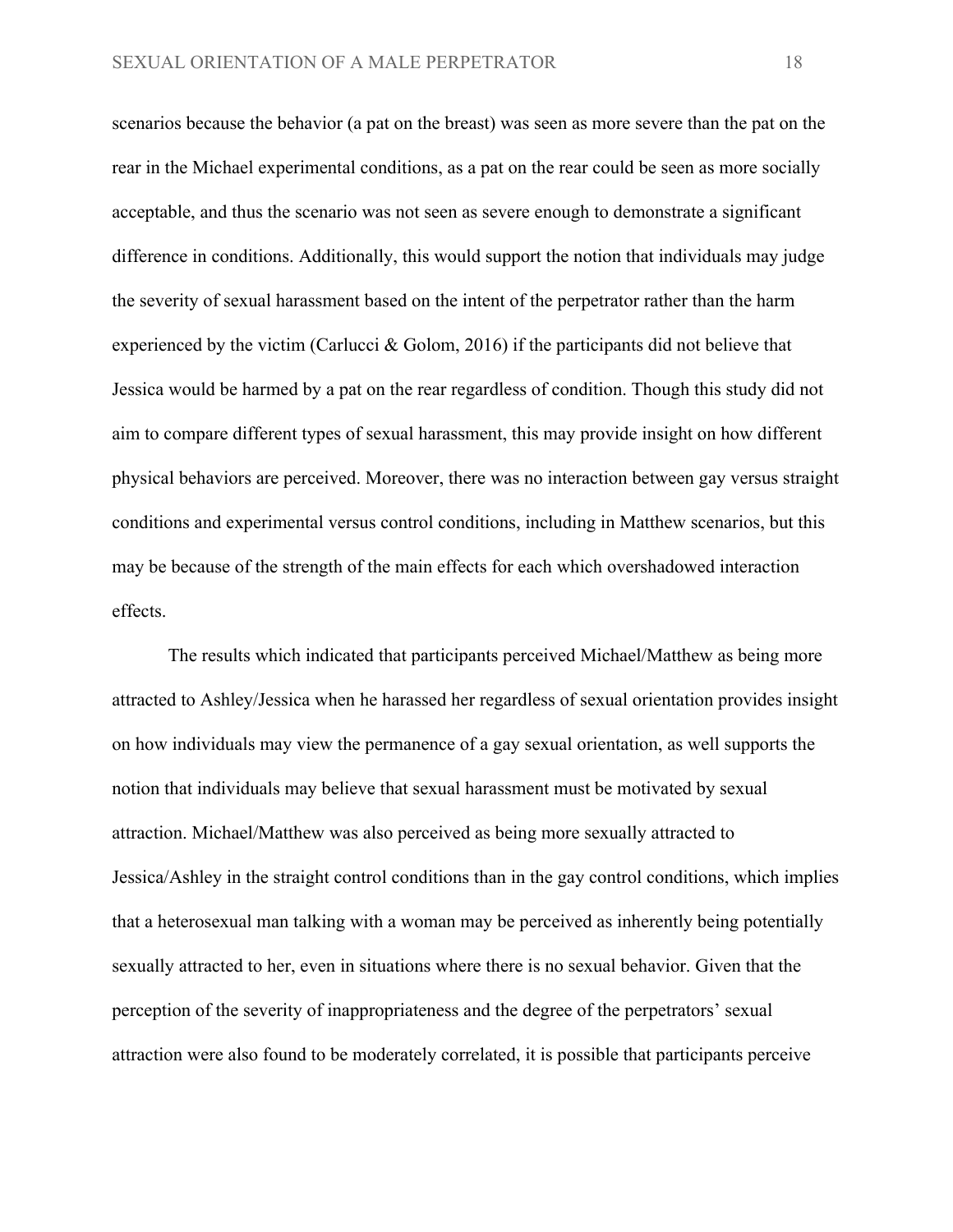scenarios because the behavior (a pat on the breast) was seen as more severe than the pat on the rear in the Michael experimental conditions, as a pat on the rear could be seen as more socially acceptable, and thus the scenario was not seen as severe enough to demonstrate a significant difference in conditions. Additionally, this would support the notion that individuals may judge the severity of sexual harassment based on the intent of the perpetrator rather than the harm experienced by the victim (Carlucci & Golom, 2016) if the participants did not believe that Jessica would be harmed by a pat on the rear regardless of condition. Though this study did not aim to compare different types of sexual harassment, this may provide insight on how different physical behaviors are perceived. Moreover, there was no interaction between gay versus straight conditions and experimental versus control conditions, including in Matthew scenarios, but this may be because of the strength of the main effects for each which overshadowed interaction effects.

The results which indicated that participants perceived Michael/Matthew as being more attracted to Ashley/Jessica when he harassed her regardless of sexual orientation provides insight on how individuals may view the permanence of a gay sexual orientation, as well supports the notion that individuals may believe that sexual harassment must be motivated by sexual attraction. Michael/Matthew was also perceived as being more sexually attracted to Jessica/Ashley in the straight control conditions than in the gay control conditions, which implies that a heterosexual man talking with a woman may be perceived as inherently being potentially sexually attracted to her, even in situations where there is no sexual behavior. Given that the perception of the severity of inappropriateness and the degree of the perpetrators' sexual attraction were also found to be moderately correlated, it is possible that participants perceive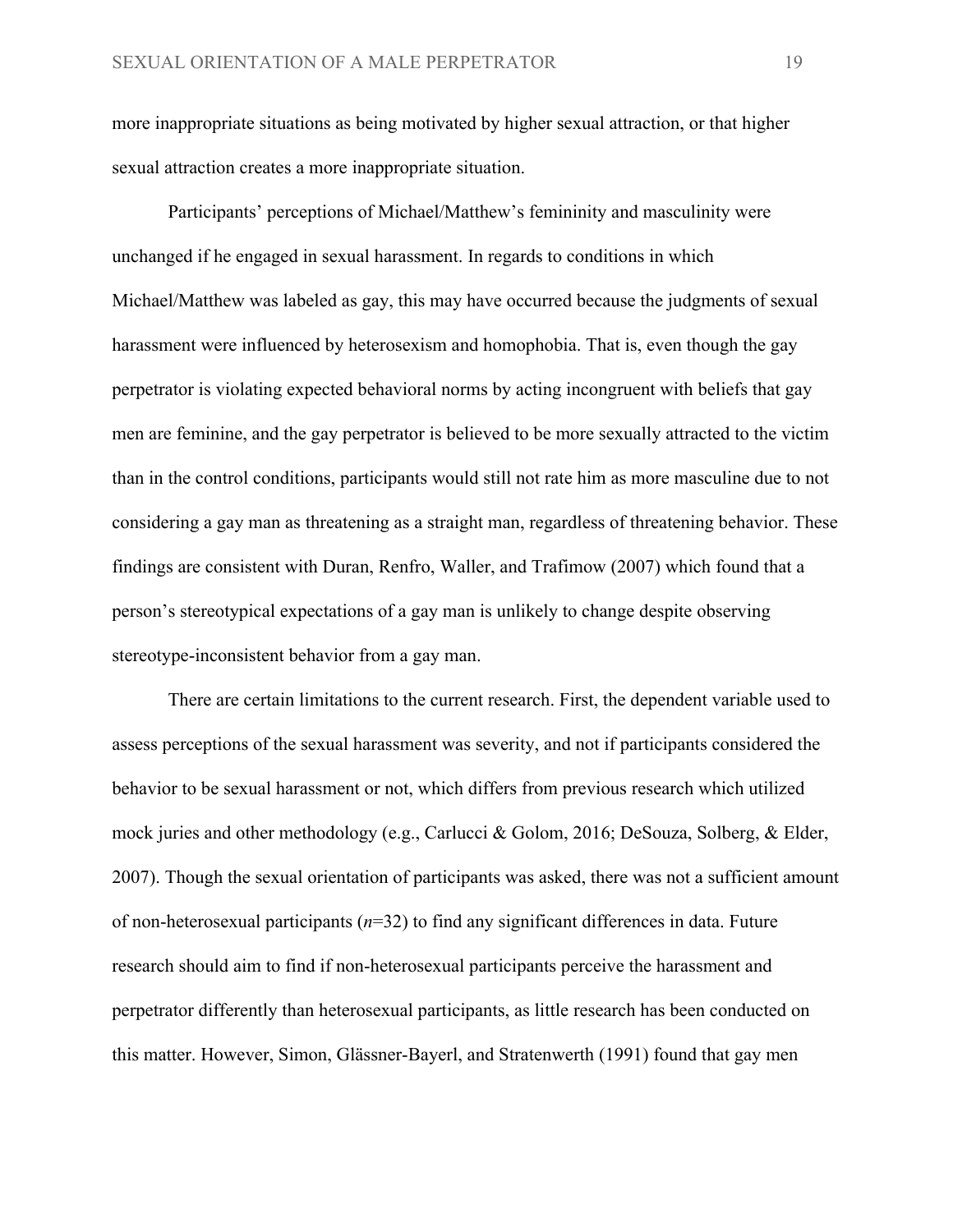more inappropriate situations as being motivated by higher sexual attraction, or that higher sexual attraction creates a more inappropriate situation.

Participants' perceptions of Michael/Matthew's femininity and masculinity were unchanged if he engaged in sexual harassment. In regards to conditions in which Michael/Matthew was labeled as gay, this may have occurred because the judgments of sexual harassment were influenced by heterosexism and homophobia. That is, even though the gay perpetrator is violating expected behavioral norms by acting incongruent with beliefs that gay men are feminine, and the gay perpetrator is believed to be more sexually attracted to the victim than in the control conditions, participants would still not rate him as more masculine due to not considering a gay man as threatening as a straight man, regardless of threatening behavior. These findings are consistent with Duran, Renfro, Waller, and Trafimow (2007) which found that a person's stereotypical expectations of a gay man is unlikely to change despite observing stereotype-inconsistent behavior from a gay man.

There are certain limitations to the current research. First, the dependent variable used to assess perceptions of the sexual harassment was severity, and not if participants considered the behavior to be sexual harassment or not, which differs from previous research which utilized mock juries and other methodology (e.g., Carlucci & Golom, 2016; DeSouza, Solberg, & Elder, 2007). Though the sexual orientation of participants was asked, there was not a sufficient amount of non-heterosexual participants (*n*=32) to find any significant differences in data. Future research should aim to find if non-heterosexual participants perceive the harassment and perpetrator differently than heterosexual participants, as little research has been conducted on this matter. However, Simon, Glässner-Bayerl, and Stratenwerth (1991) found that gay men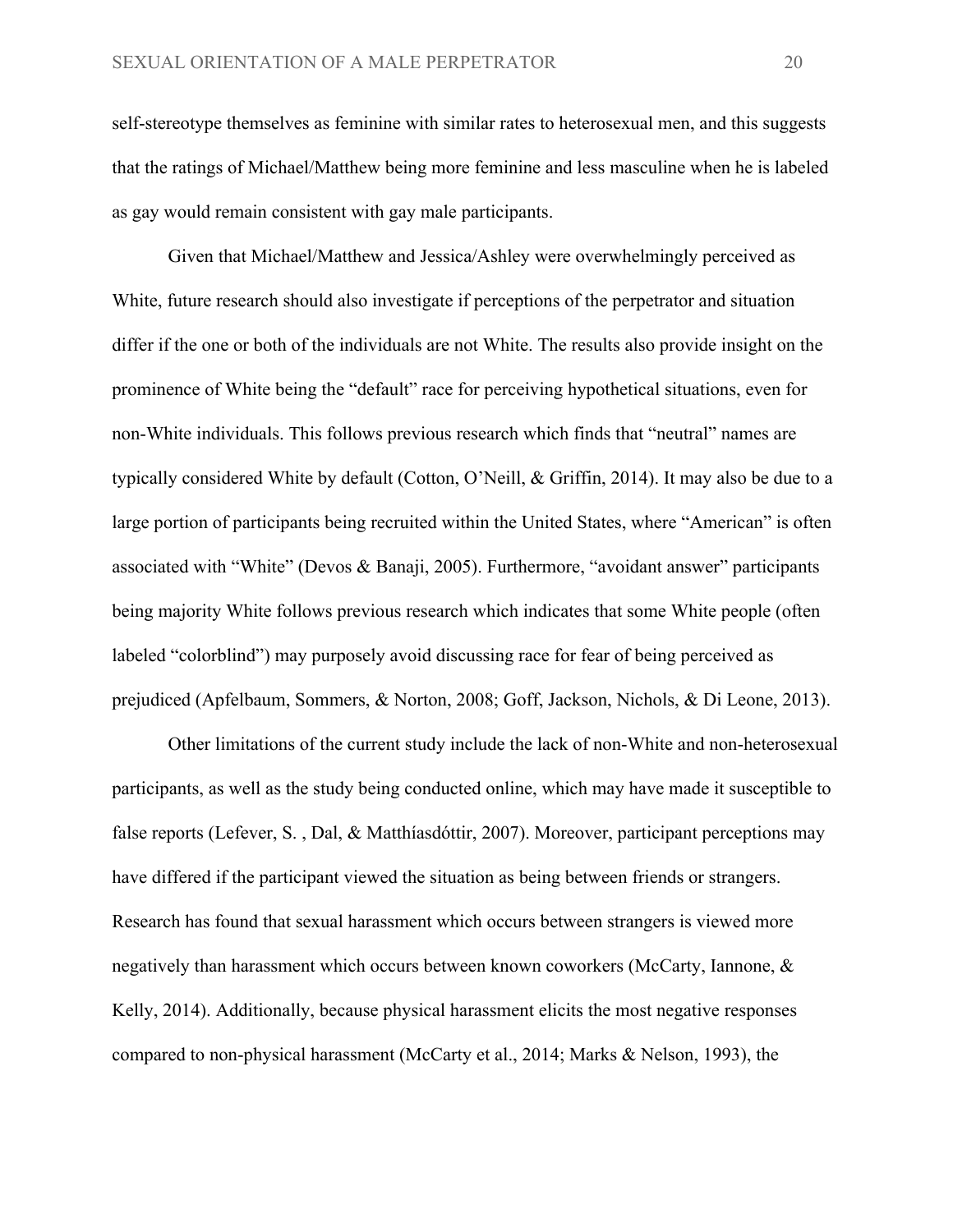self-stereotype themselves as feminine with similar rates to heterosexual men, and this suggests that the ratings of Michael/Matthew being more feminine and less masculine when he is labeled as gay would remain consistent with gay male participants.

Given that Michael/Matthew and Jessica/Ashley were overwhelmingly perceived as White, future research should also investigate if perceptions of the perpetrator and situation differ if the one or both of the individuals are not White. The results also provide insight on the prominence of White being the "default" race for perceiving hypothetical situations, even for non-White individuals. This follows previous research which finds that "neutral" names are typically considered White by default (Cotton, O'Neill, & Griffin, 2014). It may also be due to a large portion of participants being recruited within the United States, where "American" is often associated with "White" (Devos & Banaji, 2005). Furthermore, "avoidant answer" participants being majority White follows previous research which indicates that some White people (often labeled "colorblind") may purposely avoid discussing race for fear of being perceived as prejudiced (Apfelbaum, Sommers, & Norton, 2008; Goff, Jackson, Nichols, & Di Leone, 2013).

Other limitations of the current study include the lack of non-White and non-heterosexual participants, as well as the study being conducted online, which may have made it susceptible to false reports (Lefever, S. , Dal, & Matthíasdóttir, 2007). Moreover, participant perceptions may have differed if the participant viewed the situation as being between friends or strangers. Research has found that sexual harassment which occurs between strangers is viewed more negatively than harassment which occurs between known coworkers (McCarty, Iannone, & Kelly, 2014). Additionally, because physical harassment elicits the most negative responses compared to non-physical harassment (McCarty et al., 2014; Marks & Nelson, 1993), the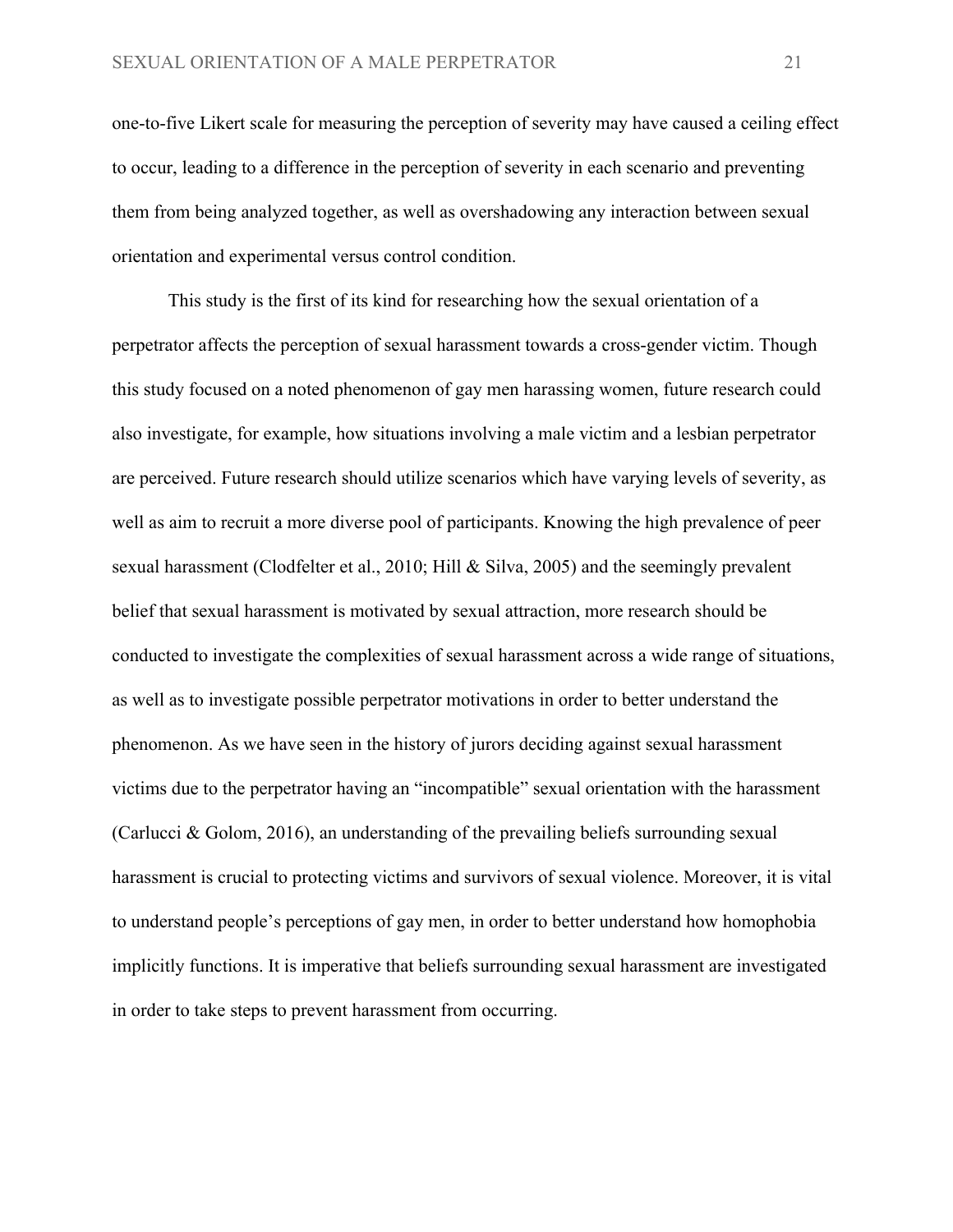one-to-five Likert scale for measuring the perception of severity may have caused a ceiling effect to occur, leading to a difference in the perception of severity in each scenario and preventing them from being analyzed together, as well as overshadowing any interaction between sexual orientation and experimental versus control condition.

This study is the first of its kind for researching how the sexual orientation of a perpetrator affects the perception of sexual harassment towards a cross-gender victim. Though this study focused on a noted phenomenon of gay men harassing women, future research could also investigate, for example, how situations involving a male victim and a lesbian perpetrator are perceived. Future research should utilize scenarios which have varying levels of severity, as well as aim to recruit a more diverse pool of participants. Knowing the high prevalence of peer sexual harassment (Clodfelter et al., 2010; Hill & Silva, 2005) and the seemingly prevalent belief that sexual harassment is motivated by sexual attraction, more research should be conducted to investigate the complexities of sexual harassment across a wide range of situations, as well as to investigate possible perpetrator motivations in order to better understand the phenomenon. As we have seen in the history of jurors deciding against sexual harassment victims due to the perpetrator having an "incompatible" sexual orientation with the harassment (Carlucci & Golom, 2016), an understanding of the prevailing beliefs surrounding sexual harassment is crucial to protecting victims and survivors of sexual violence. Moreover, it is vital to understand people's perceptions of gay men, in order to better understand how homophobia implicitly functions. It is imperative that beliefs surrounding sexual harassment are investigated in order to take steps to prevent harassment from occurring.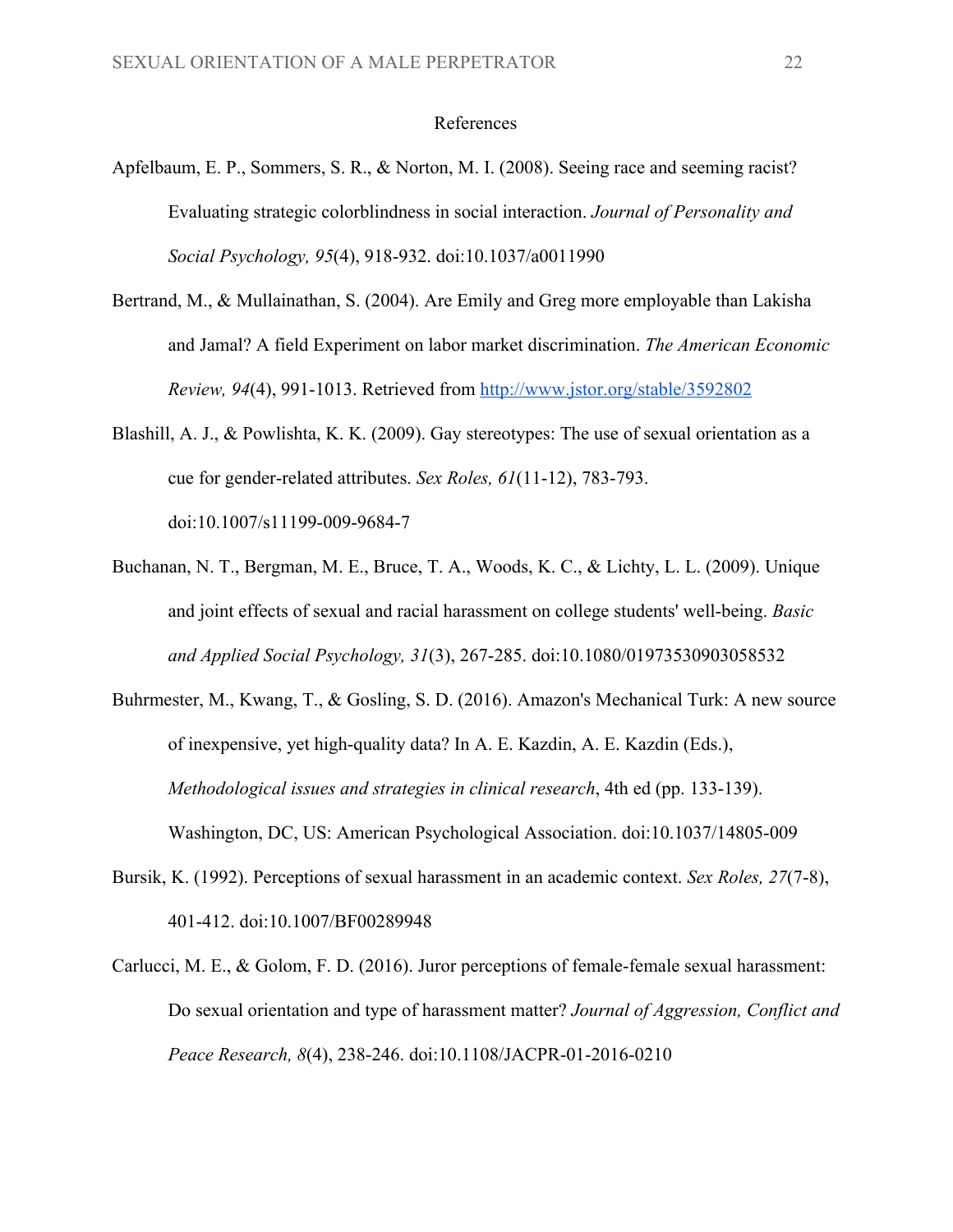#### References

- Apfelbaum, E. P., Sommers, S. R., & Norton, M. I. (2008). Seeing race and seeming racist? Evaluating strategic colorblindness in social interaction. *Journal of Personality and Social Psychology, 95*(4), 918-932. doi:10.1037/a0011990
- Bertrand, M., & Mullainathan, S. (2004). Are Emily and Greg more employable than Lakisha and Jamal? A field Experiment on labor market discrimination. *The American Economic Review, 94*(4), 991-1013. Retrieved from<http://www.jstor.org/stable/3592802>
- Blashill, A. J., & Powlishta, K. K. (2009). Gay stereotypes: The use of sexual orientation as a cue for gender-related attributes. *Sex Roles, 61*(11-12), 783-793. doi:10.1007/s11199-009-9684-7
- Buchanan, N. T., Bergman, M. E., Bruce, T. A., Woods, K. C., & Lichty, L. L. (2009). Unique and joint effects of sexual and racial harassment on college students' well-being. *Basic and Applied Social Psychology, 31*(3), 267-285. doi:10.1080/01973530903058532
- Buhrmester, M., Kwang, T., & Gosling, S. D. (2016). Amazon's Mechanical Turk: A new source of inexpensive, yet high-quality data? In A. E. Kazdin, A. E. Kazdin (Eds.), *Methodological issues and strategies in clinical research*, 4th ed (pp. 133-139). Washington, DC, US: American Psychological Association. doi:10.1037/14805-009
- Bursik, K. (1992). Perceptions of sexual harassment in an academic context. *Sex Roles, 27*(7-8), 401-412. doi:10.1007/BF00289948
- Carlucci, M. E., & Golom, F. D. (2016). Juror perceptions of female-female sexual harassment: Do sexual orientation and type of harassment matter? *Journal of Aggression, Conflict and Peace Research, 8*(4), 238-246. doi:10.1108/JACPR-01-2016-0210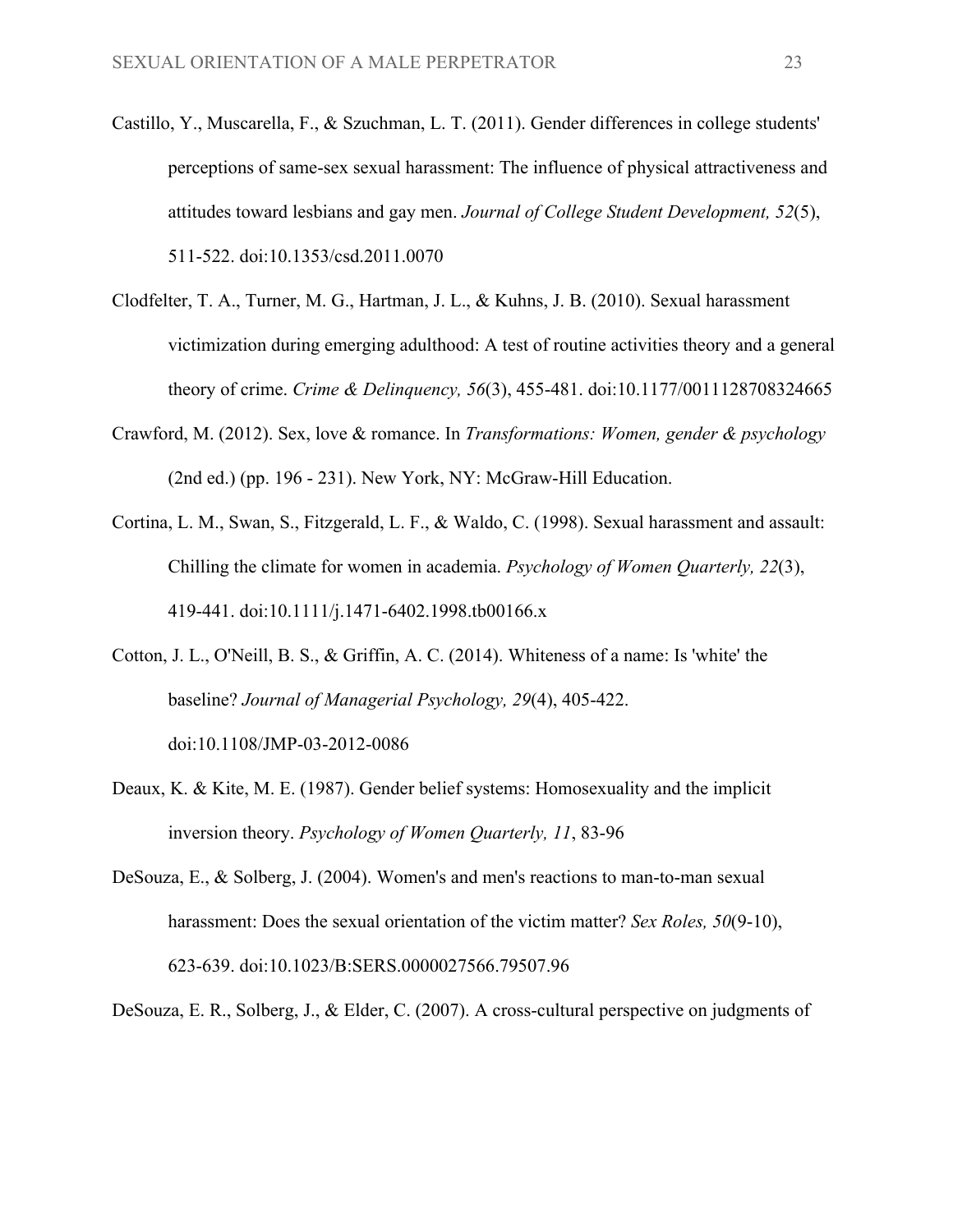- Castillo, Y., Muscarella, F., & Szuchman, L. T. (2011). Gender differences in college students' perceptions of same-sex sexual harassment: The influence of physical attractiveness and attitudes toward lesbians and gay men. *Journal of College Student Development, 52*(5), 511-522. doi:10.1353/csd.2011.0070
- Clodfelter, T. A., Turner, M. G., Hartman, J. L., & Kuhns, J. B. (2010). Sexual harassment victimization during emerging adulthood: A test of routine activities theory and a general theory of crime. *Crime & Delinquency, 56*(3), 455-481. doi:10.1177/0011128708324665
- Crawford, M. (2012). Sex, love & romance. In *Transformations: Women, gender & psychology* (2nd ed.) (pp. 196 - 231). New York, NY: McGraw-Hill Education.
- Cortina, L. M., Swan, S., Fitzgerald, L. F., & Waldo, C. (1998). Sexual harassment and assault: Chilling the climate for women in academia. *Psychology of Women Quarterly, 22*(3), 419-441. doi:10.1111/j.1471-6402.1998.tb00166.x
- Cotton, J. L., O'Neill, B. S., & Griffin, A. C. (2014). Whiteness of a name: Is 'white' the baseline? *Journal of Managerial Psychology, 29*(4), 405-422. doi:10.1108/JMP-03-2012-0086
- Deaux, K. & Kite, M. E. (1987). Gender belief systems: Homosexuality and the implicit inversion theory. *Psychology of Women Quarterly, 11*, 83-96
- DeSouza, E., & Solberg, J. (2004). Women's and men's reactions to man-to-man sexual harassment: Does the sexual orientation of the victim matter? *Sex Roles, 50*(9-10), 623-639. doi:10.1023/B:SERS.0000027566.79507.96

DeSouza, E. R., Solberg, J., & Elder, C. (2007). A cross-cultural perspective on judgments of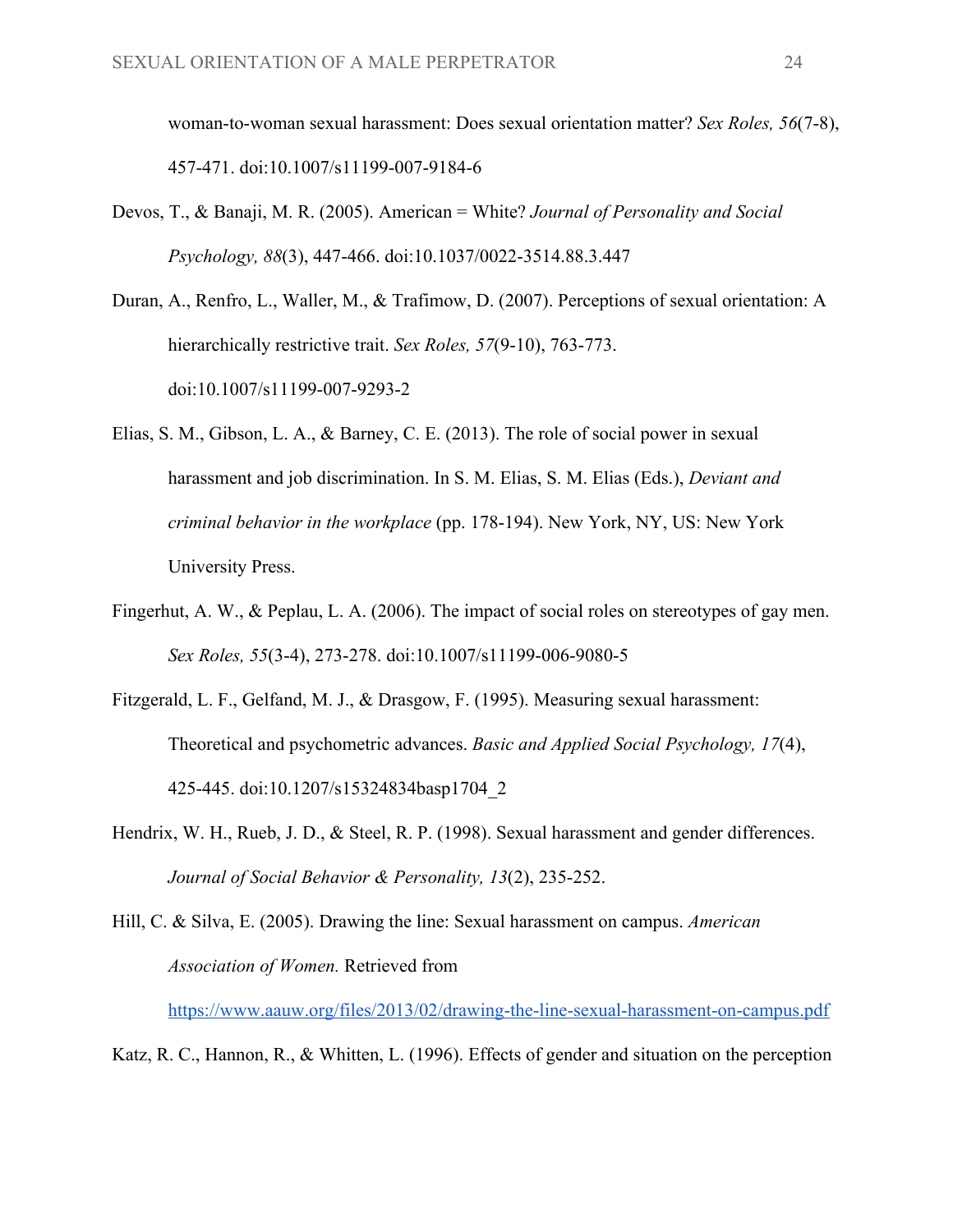woman-to-woman sexual harassment: Does sexual orientation matter? *Sex Roles, 56*(7-8), 457-471. doi:10.1007/s11199-007-9184-6

Devos, T., & Banaji, M. R. (2005). American = White? *Journal of Personality and Social Psychology, 88*(3), 447-466. doi:10.1037/0022-3514.88.3.447

Duran, A., Renfro, L., Waller, M., & Trafimow, D. (2007). Perceptions of sexual orientation: A hierarchically restrictive trait. *Sex Roles, 57*(9-10), 763-773. doi:10.1007/s11199-007-9293-2

- Elias, S. M., Gibson, L. A., & Barney, C. E. (2013). The role of social power in sexual harassment and job discrimination. In S. M. Elias, S. M. Elias (Eds.), *Deviant and criminal behavior in the workplace* (pp. 178-194). New York, NY, US: New York University Press.
- Fingerhut, A. W., & Peplau, L. A. (2006). The impact of social roles on stereotypes of gay men. *Sex Roles, 55*(3-4), 273-278. doi:10.1007/s11199-006-9080-5
- Fitzgerald, L. F., Gelfand, M. J., & Drasgow, F. (1995). Measuring sexual harassment: Theoretical and psychometric advances. *Basic and Applied Social Psychology, 17*(4), 425-445. doi:10.1207/s15324834basp1704\_2
- Hendrix, W. H., Rueb, J. D., & Steel, R. P. (1998). Sexual harassment and gender differences. *Journal of Social Behavior & Personality, 13*(2), 235-252.

Hill, C. & Silva, E. (2005). Drawing the line: Sexual harassment on campus. *American Association of Women.* Retrieved from

<https://www.aauw.org/files/2013/02/drawing-the-line-sexual-harassment-on-campus.pdf>

Katz, R. C., Hannon, R., & Whitten, L. (1996). Effects of gender and situation on the perception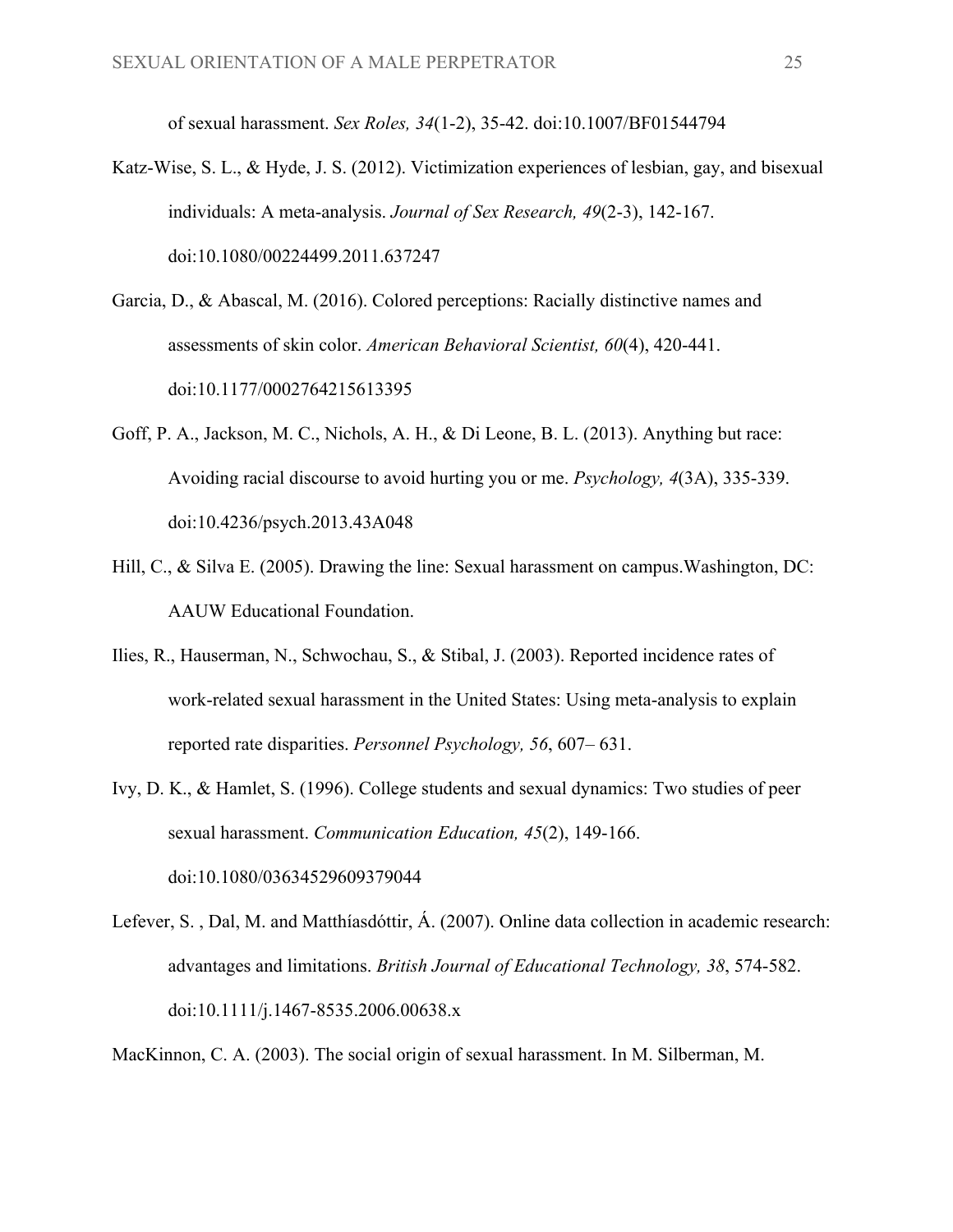of sexual harassment. *Sex Roles, 34*(1-2), 35-42. doi:10.1007/BF01544794

- Katz-Wise, S. L., & Hyde, J. S. (2012). Victimization experiences of lesbian, gay, and bisexual individuals: A meta-analysis. *Journal of Sex Research, 49*(2-3), 142-167. doi:10.1080/00224499.2011.637247
- Garcia, D., & Abascal, M. (2016). Colored perceptions: Racially distinctive names and assessments of skin color. *American Behavioral Scientist, 60*(4), 420-441. doi:10.1177/0002764215613395
- Goff, P. A., Jackson, M. C., Nichols, A. H., & Di Leone, B. L. (2013). Anything but race: Avoiding racial discourse to avoid hurting you or me. *Psychology, 4*(3A), 335-339. doi:10.4236/psych.2013.43A048
- Hill, C., & Silva E. (2005). Drawing the line: Sexual harassment on campus.Washington, DC: AAUW Educational Foundation.
- Ilies, R., Hauserman, N., Schwochau, S., & Stibal, J. (2003). Reported incidence rates of work-related sexual harassment in the United States: Using meta-analysis to explain reported rate disparities. *Personnel Psychology, 56*, 607– 631.
- Ivy, D. K., & Hamlet, S. (1996). College students and sexual dynamics: Two studies of peer sexual harassment. *Communication Education, 45*(2), 149-166. doi:10.1080/03634529609379044
- Lefever, S. , Dal, M. and Matthíasdóttir, Á. (2007). Online data collection in academic research: advantages and limitations. *British Journal of Educational Technology, 38*, 574-582. doi:10.1111/j.1467-8535.2006.00638.x

MacKinnon, C. A. (2003). The social origin of sexual harassment. In M. Silberman, M.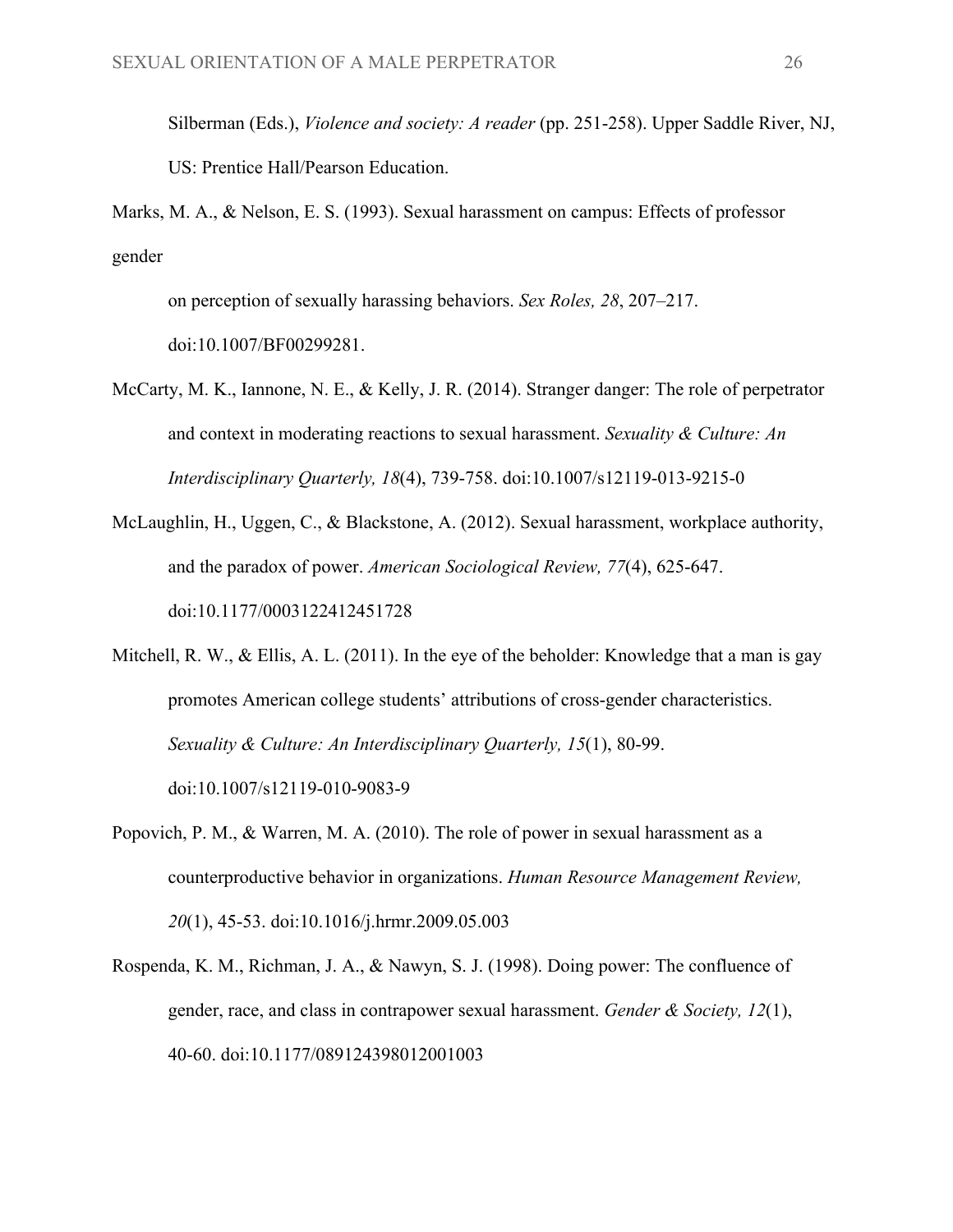Silberman (Eds.), *Violence and society: A reader* (pp. 251-258). Upper Saddle River, NJ, US: Prentice Hall/Pearson Education.

Marks, M. A., & Nelson, E. S. (1993). Sexual harassment on campus: Effects of professor gender

on perception of sexually harassing behaviors. *Sex Roles, 28*, 207–217. doi:10.1007/BF00299281.

- McCarty, M. K., Iannone, N. E., & Kelly, J. R. (2014). Stranger danger: The role of perpetrator and context in moderating reactions to sexual harassment. *Sexuality & Culture: An Interdisciplinary Quarterly, 18*(4), 739-758. doi:10.1007/s12119-013-9215-0
- McLaughlin, H., Uggen, C., & Blackstone, A. (2012). Sexual harassment, workplace authority, and the paradox of power. *American Sociological Review, 77*(4), 625-647. doi:10.1177/0003122412451728

Mitchell, R. W., & Ellis, A. L. (2011). In the eye of the beholder: Knowledge that a man is gay promotes American college students' attributions of cross-gender characteristics. *Sexuality & Culture: An Interdisciplinary Quarterly, 15*(1), 80-99. doi:10.1007/s12119-010-9083-9

- Popovich, P. M., & Warren, M. A. (2010). The role of power in sexual harassment as a counterproductive behavior in organizations. *Human Resource Management Review, 20*(1), 45-53. doi:10.1016/j.hrmr.2009.05.003
- Rospenda, K. M., Richman, J. A., & Nawyn, S. J. (1998). Doing power: The confluence of gender, race, and class in contrapower sexual harassment. *Gender & Society, 12*(1), 40-60. doi:10.1177/089124398012001003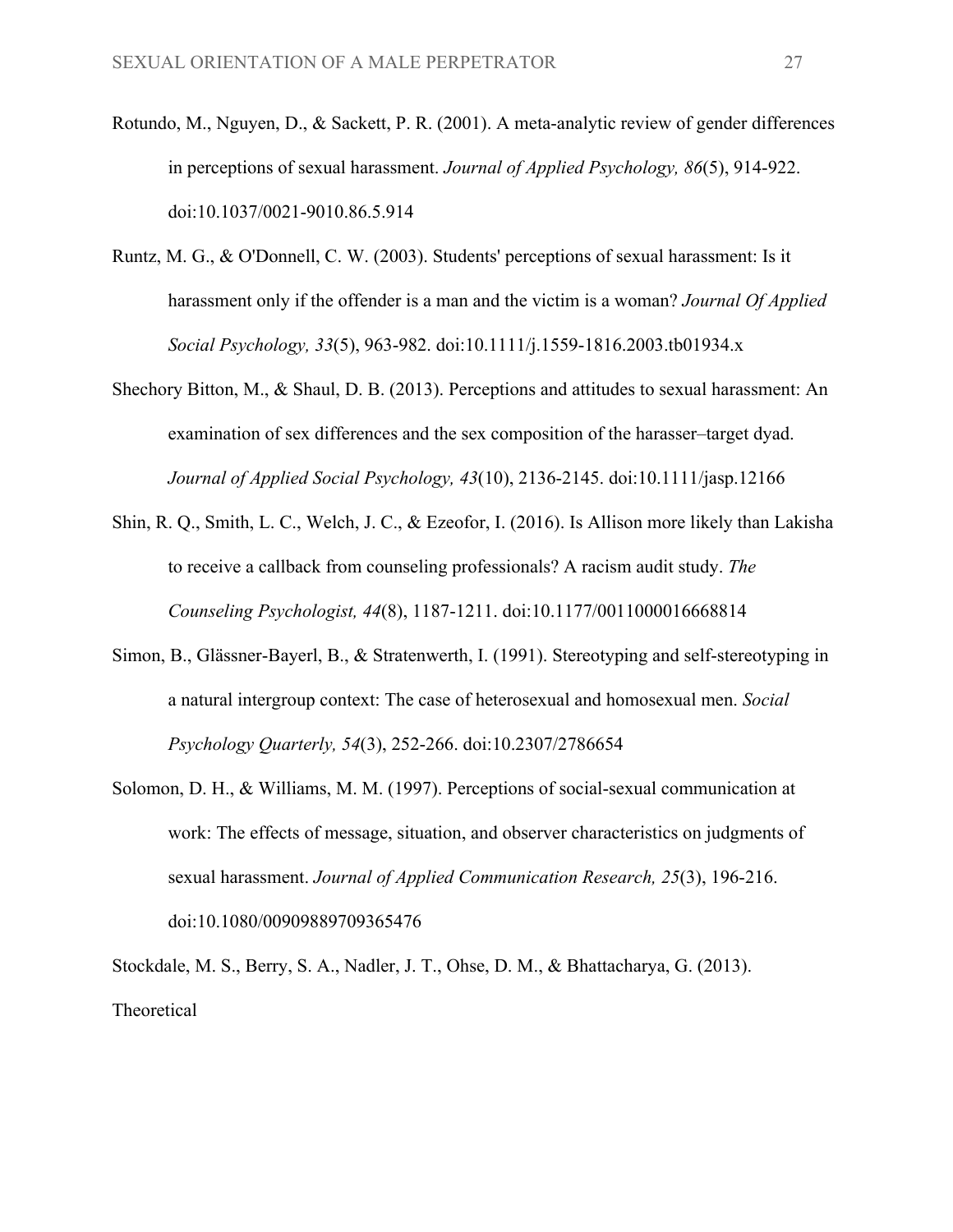- Rotundo, M., Nguyen, D., & Sackett, P. R. (2001). A meta-analytic review of gender differences in perceptions of sexual harassment. *Journal of Applied Psychology, 86*(5), 914-922. doi:10.1037/0021-9010.86.5.914
- Runtz, M. G., & O'Donnell, C. W. (2003). Students' perceptions of sexual harassment: Is it harassment only if the offender is a man and the victim is a woman? *Journal Of Applied Social Psychology, 33*(5), 963-982. doi:10.1111/j.1559-1816.2003.tb01934.x
- Shechory Bitton, M., & Shaul, D. B. (2013). Perceptions and attitudes to sexual harassment: An examination of sex differences and the sex composition of the harasser–target dyad. *Journal of Applied Social Psychology, 43*(10), 2136-2145. doi:10.1111/jasp.12166
- Shin, R. Q., Smith, L. C., Welch, J. C., & Ezeofor, I. (2016). Is Allison more likely than Lakisha to receive a callback from counseling professionals? A racism audit study. *The Counseling Psychologist, 44*(8), 1187-1211. doi:10.1177/0011000016668814
- Simon, B., Glässner-Bayerl, B., & Stratenwerth, I. (1991). Stereotyping and self-stereotyping in a natural intergroup context: The case of heterosexual and homosexual men. *Social Psychology Quarterly, 54*(3), 252-266. doi:10.2307/2786654
- Solomon, D. H., & Williams, M. M. (1997). Perceptions of social-sexual communication at work: The effects of message, situation, and observer characteristics on judgments of sexual harassment. *Journal of Applied Communication Research, 25*(3), 196-216. doi:10.1080/00909889709365476

Stockdale, M. S., Berry, S. A., Nadler, J. T., Ohse, D. M., & Bhattacharya, G. (2013). Theoretical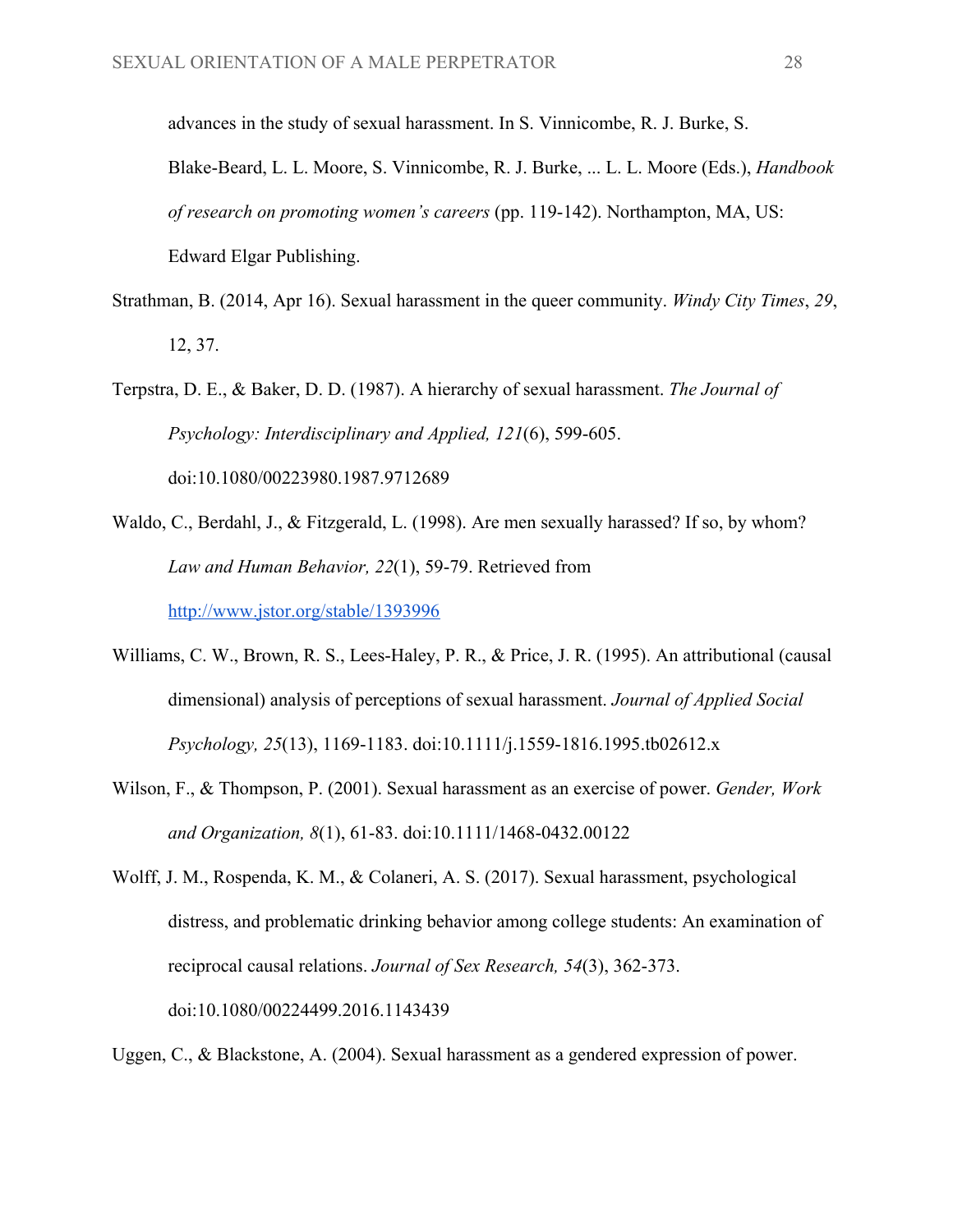advances in the study of sexual harassment. In S. Vinnicombe, R. J. Burke, S.

Blake-Beard, L. L. Moore, S. Vinnicombe, R. J. Burke, ... L. L. Moore (Eds.), *Handbook of research on promoting women's careers* (pp. 119-142). Northampton, MA, US: Edward Elgar Publishing.

- Strathman, B. (2014, Apr 16). Sexual harassment in the queer community. *Windy City Times*, *29*, 12, 37.
- Terpstra, D. E., & Baker, D. D. (1987). A hierarchy of sexual harassment. *The Journal of Psychology: Interdisciplinary and Applied, 121*(6), 599-605. doi:10.1080/00223980.1987.9712689
- Waldo, C., Berdahl, J., & Fitzgerald, L. (1998). Are men sexually harassed? If so, by whom? *Law and Human Behavior, 22*(1), 59-79. Retrieved from <http://www.jstor.org/stable/1393996>
- Williams, C. W., Brown, R. S., Lees-Haley, P. R., & Price, J. R. (1995). An attributional (causal dimensional) analysis of perceptions of sexual harassment. *Journal of Applied Social Psychology, 25*(13), 1169-1183. doi:10.1111/j.1559-1816.1995.tb02612.x
- Wilson, F., & Thompson, P. (2001). Sexual harassment as an exercise of power. *Gender, Work and Organization, 8*(1), 61-83. doi:10.1111/1468-0432.00122
- Wolff, J. M., Rospenda, K. M., & Colaneri, A. S. (2017). Sexual harassment, psychological distress, and problematic drinking behavior among college students: An examination of reciprocal causal relations. *Journal of Sex Research, 54*(3), 362-373. doi:10.1080/00224499.2016.1143439
- Uggen, C., & Blackstone, A. (2004). Sexual harassment as a gendered expression of power.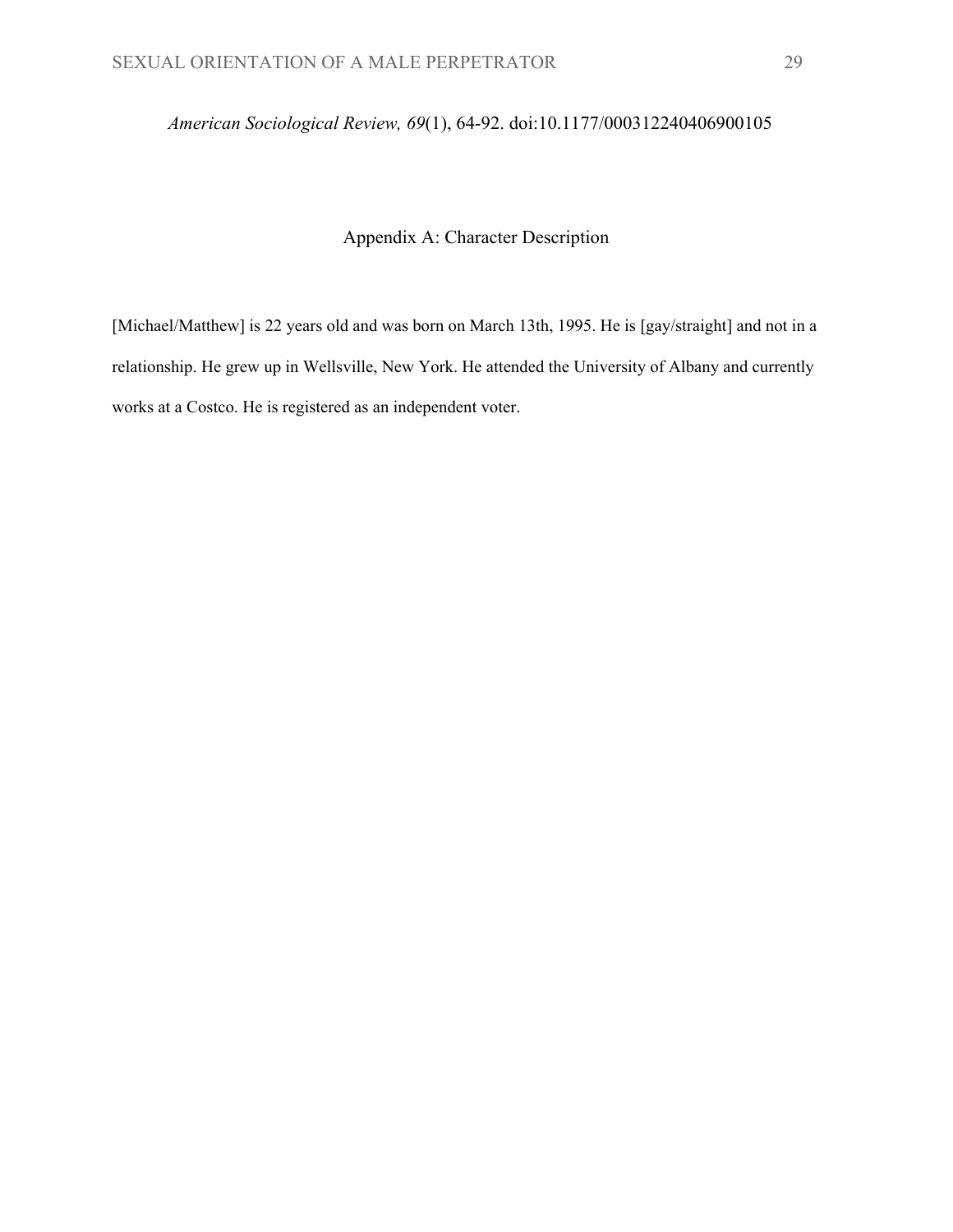# *American Sociological Review, 69*(1), 64-92. doi:10.1177/000312240406900105

# Appendix A: Character Description

[Michael/Matthew] is 22 years old and was born on March 13th, 1995. He is [gay/straight] and not in a relationship. He grew up in Wellsville, New York. He attended the University of Albany and currently works at a Costco. He is registered as an independent voter.